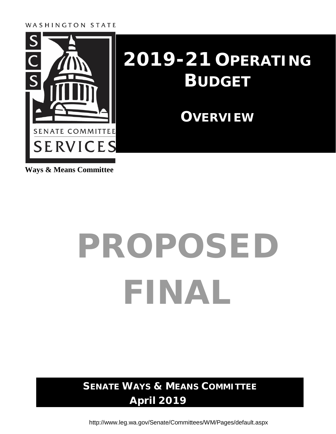#### WASHINGTON STATE



### **2019-21 OPERATING BUDGET**

**OVERVIEW**

**Ways & Means Committee**

# PROPOSED FINAL

**SENATE WAYS & MEANS COMMITTEE April 2019**

<http://www.leg.wa.gov/Senate/Committees/WM/Pages/default.aspx>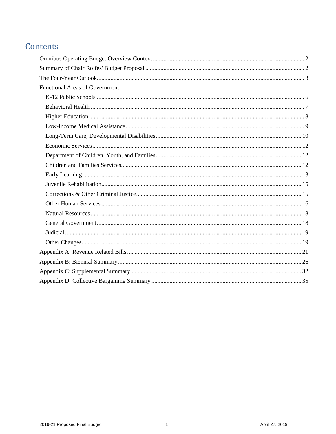#### Contents

| <b>Functional Areas of Government</b> |  |
|---------------------------------------|--|
|                                       |  |
|                                       |  |
|                                       |  |
|                                       |  |
|                                       |  |
|                                       |  |
|                                       |  |
|                                       |  |
|                                       |  |
|                                       |  |
|                                       |  |
|                                       |  |
|                                       |  |
|                                       |  |
|                                       |  |
|                                       |  |
|                                       |  |
|                                       |  |
|                                       |  |
|                                       |  |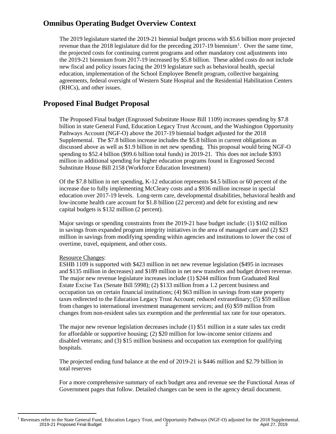#### <span id="page-3-0"></span>**Omnibus Operating Budget Overview Context**

The 2019 legislature started the 2019-21 biennial budget process with \$5.6 billion more projected revenue than the 20[1](#page-3-2)8 legislature did for the preceding  $2017-19$  biennium<sup>1</sup>. Over the same time, the projected costs for continuing current programs and other mandatory cost adjustments into the 2019-21 biennium from 2017-19 increased by \$5.8 billion. These added costs do not include new fiscal and policy issues facing the 2019 legislature such as behavioral health, special education, implementation of the School Employee Benefit program, collective bargaining agreements, federal oversight of Western State Hospital and the Residential Habilitation Centers (RHCs), and other issues.

#### <span id="page-3-1"></span>**Proposed Final Budget Proposal**

The Proposed Final budget (Engrossed Substitute House Bill 1109) increases spending by \$7.8 billion in state General Fund, Education Legacy Trust Account, and the Washington Opportunity Pathways Account (NGF-O) above the 2017-19 biennial budget adjusted for the 2018 Supplemental. The \$7.8 billion increase includes the \$5.8 billion in current obligations as discussed above as well as \$1.9 billion in net new spending. This proposal would bring NGF-O spending to \$52.4 billion (\$99.6 billion total funds) in 2019-21. This does not include \$393 million in additional spending for higher education programs found in Engrossed Second Substitute House Bill 2158 (Workforce Education Investment)

Of the \$7.8 billion in net spending, K-12 education represents \$4.5 billion or 60 percent of the increase due to fully implementing McCleary costs and a \$936 million increase in special education over 2017-19 levels. Long-term care, developmental disabilities, behavioral health and low-income health care account for \$1.8 billion (22 percent) and debt for existing and new capital budgets is \$132 million (2 percent).

Major savings or spending constraints from the 2019-21 base budget include: (1) \$102 million in savings from expanded program integrity initiatives in the area of managed care and (2) \$23 million in savings from modifying spending within agencies and institutions to lower the cost of overtime, travel, equipment, and other costs.

#### Resource Changes:

ESHB 1109 is supported with \$423 million in net new revenue legislation (\$495 in increases and \$135 million in decreases) and \$189 million in net new transfers and budget driven revenue. The major new revenue legislature increases include (1) \$244 million from Graduated Real Estate Excise Tax (Senate Bill 5998); (2) \$133 million from a 1.2 percent business and occupation tax on certain financial institutions; (4) \$63 million in savings from state property taxes redirected to the Education Legacy Trust Account; reduced extraordinary; (5) \$59 million from changes to international investment management services; and (6) \$59 million from changes from non-resident sales tax exemption and the preferential tax rate for tour operators.

The major new revenue legislation decreases include (1) \$51 million in a state sales tax credit for affordable or supportive housing; (2) \$20 million for low-income senior citizens and disabled veterans; and (3) \$15 million business and occupation tax exemption for qualifying hospitals.

The projected ending fund balance at the end of 2019-21 is \$446 million and \$2.79 billion in total reserves

For a more comprehensive summary of each budget area and revenue see the Functional Areas of Government pages that follow. Detailed changes can be seen in the agency detail document.

<span id="page-3-2"></span> $2019-21$  Proposed Final Budget  $2^2$   $2^2$   $2^2$   $4^2$   $4^2$   $4^2$   $4^2$   $4^2$   $4^2$   $4^2$   $4^2$   $4^2$   $4^2$   $4^2$   $4^2$   $4^2$   $4^2$   $4^2$   $4^2$   $4^2$   $4^2$   $4^2$   $4^2$   $4^2$   $4^2$   $4^2$   $4^2$   $4^2$   $4^2$   $4^2$   $4^2$   $4^$ <sup>1</sup> Revenues refer to the State General Fund, Education Legacy Trust, and Opportunity Pathways (NGF-O) adjusted for the 2018 Supplemental.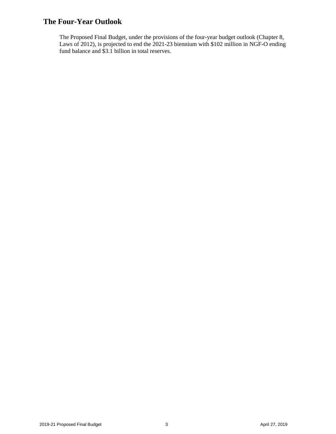#### <span id="page-4-0"></span>**The Four-Year Outlook**

The Proposed Final Budget, under the provisions of the four-year budget outlook (Chapter 8, Laws of 2012), is projected to end the 2021-23 biennium with \$102 million in NGF-O ending fund balance and \$3.1 billion in total reserves.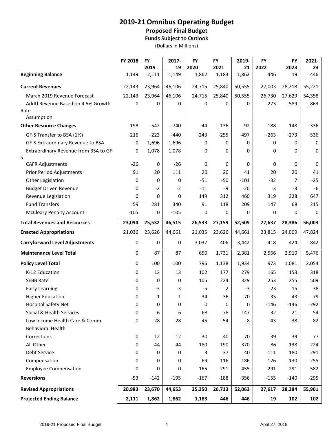#### **2019-21 Omnibus Operating Budget**

#### **Proposed Final Budget**

**Funds Subject to Outlook**

(Dollars in Millions)

|                                            | FY 2018 | <b>FY</b>     | 2017-       | <b>FY</b>     | <b>FY</b>     | 2019-       | <b>FY</b>   | <b>FY</b>  | 2021-     |
|--------------------------------------------|---------|---------------|-------------|---------------|---------------|-------------|-------------|------------|-----------|
| <b>Beginning Balance</b>                   | 1,149   | 2019<br>2,111 | 19<br>1,149 | 2020<br>1,862 | 2021<br>1,183 | 21<br>1,862 | 2022<br>446 | 2023<br>19 | 23<br>446 |
|                                            |         |               |             |               |               |             |             |            |           |
| <b>Current Revenues</b>                    | 22,143  | 23,964        | 46,106      | 24,715        | 25,840        | 50,555      | 27,003      | 28,218     | 55,221    |
| March 2019 Revenue Forecast                | 22,143  | 23,964        | 46,106      | 24,715        | 25,840        | 50,555      | 26,730      | 27,629     | 54,358    |
| Addtl Revenue Based on 4.5% Growth         | 0       | 0             | 0           | 0             | 0             | 0           | 273         | 589        | 863       |
| Rate                                       |         |               |             |               |               |             |             |            |           |
| Assumption                                 |         | $-542$        |             |               |               |             |             |            |           |
| <b>Other Resource Changes</b>              | $-198$  |               | -740        | -44           | 136           | 92          | 188         | 148        | 336       |
| GF-S Transfer to BSA (1%)                  | $-216$  | $-223$        | $-440$      | $-243$        | $-255$        | $-497$      | $-263$      | $-273$     | $-536$    |
| GF-S Extraordinary Revenue to BSA          | 0       | $-1,696$      | $-1,696$    | 0             | 0             | 0           | 0           | 0          | 0         |
| Extraordinary Revenue from BSA to GF-<br>S | 0       | 1,078         | 1,078       | 0             | 0             | 0           | 0           | 0          | 0         |
| <b>CAFR Adjustments</b>                    | $-26$   | 0             | $-26$       | 0             | 0             | 0           | 0           | 0          | 0         |
| <b>Prior Period Adjustments</b>            | 91      | 20            | 111         | 20            | 20            | 41          | 20          | 20         | 41        |
| Other Legislation                          | 0       | 0             | 0           | $-51$         | $-50$         | $-101$      | $-32$       | 7          | $-25$     |
| <b>Budget Driven Revenue</b>               | 0       | $-2$          | $-2$        | $-11$         | -9            | $-20$       | $-3$        | $-3$       | $-6$      |
| Revenue Legislation                        | 0       | 0             | 0           | 149           | 312           | 460         | 319         | 328        | 647       |
| <b>Fund Transfers</b>                      | 59      | 281           | 340         | 91            | 118           | 209         | 147         | 68         | 215       |
| <b>McCleary Penalty Account</b>            | $-105$  | 0             | $-105$      | 0             | 0             | 0           | 0           | 0          | 0         |
| <b>Total Revenues and Resources</b>        | 23,094  | 25,532        | 46,515      | 26,533        | 27,159        | 52,509      | 27,637      | 28,386     | 56,003    |
| <b>Enacted Appropriations</b>              | 21,036  | 23,626        | 44,661      | 21,035        | 23,626        | 44,661      | 23,815      | 24,009     | 47,824    |
| <b>Carryforward Level Adjustments</b>      | 0       | 0             | 0           | 3,037         | 406           | 3,442       | 418         | 424        | 842       |
| <b>Maintenance Level Total</b>             | 0       | 87            | 87          | 650           | 1,731         | 2,381       | 2,566       | 2,910      | 5,476     |
| <b>Policy Level Total</b>                  | 0       | 100           | 100         | 796           | 1,138         | 1,934       | 973         | 1,081      | 2,054     |
| K-12 Education                             | 0       | 13            | 13          | 102           | 177           | 279         | 165         | 153        | 318       |
| <b>SEBB Rate</b>                           | 0       | 0             | 0           | 105           | 224           | 329         | 253         | 255        | 509       |
| <b>Early Learning</b>                      | 0       | $-3$          | $-3$        | $-5$          | 2             | $-3$        | 23          | 15         | 38        |
| <b>Higher Education</b>                    | 0       | 1             | 1           | 34            | 36            | 70          | 35          | 43         | 79        |
| <b>Hospital Safety Net</b>                 | 0       | 0             | 0           | 0             | 0             | 0           | $-146$      | $-146$     | $-292$    |
| Social & Health Services                   | 0       | 6             | 6           | 68            | 78            | 147         | 32          | 21         | 54        |
| Low Income Health Care & Comm              | 0       | 28            | 28          | 45            | $-54$         | -8          | $-43$       | $-38$      | $-82$     |
| <b>Behavioral Health</b>                   |         |               |             |               |               |             |             |            |           |
| Corrections                                | 0       | 12            | 12          | 30            | 40            | 70          | 39          | 39         | 77        |
| All Other                                  | 0       | 44            | 44          | 180           | 190           | 370         | 86          | 138        | 224       |
| Debt Service                               | 0       | 0             | 0           | 3             | 37            | 40          | 111         | 180        | 291       |
| Compensation                               | 0       | 0             | 0           | 69            | 116           | 186         | 126         | 130        | 255       |
| <b>Employee Compensation</b>               | 0       | 0             | 0           | 165           | 291           | 455         | 291         | 291        | 582       |
| <b>Reversions</b>                          | $-53$   | $-142$        | $-195$      | $-167$        | $-188$        | $-356$      | $-155$      | $-140$     | $-295$    |
| <b>Revised Appropriations</b>              | 20,983  | 23,670        | 44,653      | 25,350        | 26,713        | 52,063      | 27,617      | 28,284     | 55,901    |
| <b>Projected Ending Balance</b>            | 2,111   | 1,862         | 1,862       | 1,183         | 446           | 446         | 19          | 102        | 102       |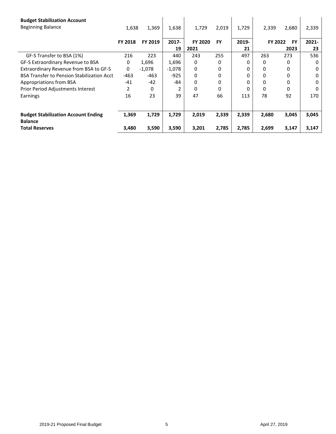| <b>Budget Stabilization Account</b>                          |         |          |          |         |           |       |         |           |          |
|--------------------------------------------------------------|---------|----------|----------|---------|-----------|-------|---------|-----------|----------|
| <b>Beginning Balance</b>                                     | 1,638   | 1,369    | 1,638    | 1,729   | 2,019     | 1,729 | 2,339   | 2,680     | 2,339    |
|                                                              | FY 2018 | FY 2019  | $2017 -$ | FY 2020 | <b>FY</b> | 2019- | FY 2022 | <b>FY</b> | $2021 -$ |
|                                                              |         |          | 19       | 2021    |           | 21    |         | 2023      | 23       |
| GF-S Transfer to BSA (1%)                                    | 216     | 223      | 440      | 243     | 255       | 497   | 263     | 273       | 536      |
| GF-S Extraordinary Revenue to BSA                            | 0       | 1,696    | 1,696    | 0       | 0         | 0     | 0       | 0         | $\Omega$ |
| Extraordinary Revenue from BSA to GF-S                       | 0       | $-1,078$ | $-1,078$ | 0       | 0         | 0     | 0       | 0         | 0        |
| <b>BSA Transfer to Pension Stabilization Acct</b>            | $-463$  | $-463$   | $-925$   | 0       | 0         | 0     | 0       | 0         | 0        |
| Appropriations from BSA                                      | $-41$   | $-42$    | -84      | 0       | 0         | 0     | 0       | 0         | 0        |
| Prior Period Adjustments Interest                            | 2       | 0        | 2        | 0       | 0         |       | 0       | 0         | $\Omega$ |
| Earnings                                                     | 16      | 23       | 39       | 47      | 66        | 113   | 78      | 92        | 170      |
|                                                              |         |          |          |         |           |       |         |           |          |
| <b>Budget Stabilization Account Ending</b><br><b>Balance</b> | 1,369   | 1,729    | 1,729    | 2,019   | 2,339     | 2,339 | 2,680   | 3,045     | 3,045    |
| <b>Total Reserves</b>                                        | 3,480   | 3,590    | 3,590    | 3,201   | 2,785     | 2,785 | 2,699   | 3,147     | 3,147    |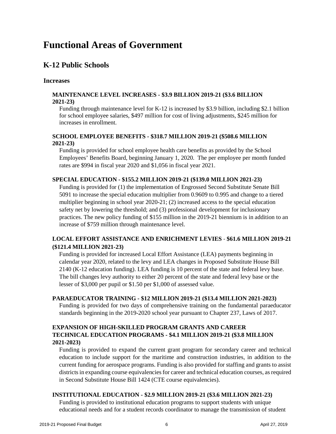#### **Functional Areas of Government**

#### <span id="page-7-0"></span>**K-12 Public Schools**

#### **Increases**

#### **MAINTENANCE LEVEL INCREASES - \$3.9 BILLION 2019-21 (\$3.6 BILLION 2021-23)**

Funding through maintenance level for K-12 is increased by \$3.9 billion, including \$2.1 billion for school employee salaries, \$497 million for cost of living adjustments, \$245 million for increases in enrollment.

#### **SCHOOL EMPLOYEE BENEFITS - \$318.7 MILLION 2019-21 (\$508.6 MILLION 2021-23)**

Funding is provided for school employee health care benefits as provided by the School Employees' Benefits Board, beginning January 1, 2020. The per employee per month funded rates are \$994 in fiscal year 2020 and \$1,056 in fiscal year 2021.

#### **SPECIAL EDUCATION - \$155.2 MILLION 2019-21 (\$139.0 MILLION 2021-23)**

Funding is provided for (1) the implementation of Engrossed Second Substitute Senate Bill 5091 to increase the special education multiplier from 0.9609 to 0.995 and change to a tiered multiplier beginning in school year 2020-21; (2) increased access to the special education safety net by lowering the threshold; and (3) professional development for inclusionary practices. The new policy funding of \$155 million in the 2019-21 biennium is in addition to an increase of \$759 million through maintenance level.

#### **LOCAL EFFORT ASSISTANCE AND ENRICHMENT LEVIES** - **\$61.6 MILLION 2019-21 (\$121.4 MILLION 2021-23)**

Funding is provided for increased Local Effort Assistance (LEA) payments beginning in calendar year 2020, related to the levy and LEA changes in Proposed Substitute House Bill 2140 (K-12 education funding). LEA funding is 10 percent of the state and federal levy base. The bill changes levy authority to either 20 percent of the state and federal levy base or the lesser of \$3,000 per pupil or \$1.50 per \$1,000 of assessed value.

#### **PARAEDUCATOR TRAINING - \$12 MILLION 2019-21 (\$13.4 MILLION 2021-2023)**

Funding is provided for two days of comprehensive training on the fundamental paraeducator standards beginning in the 2019-2020 school year pursuant to Chapter 237, Laws of 2017.

#### **EXPANSION OF HIGH-SKILLED PROGRAM GRANTS AND CAREER TECHNICAL EDUCATION PROGRAMS - \$4.1 MILLION 2019-21 (\$3.8 MILLION 2021-2023)**

Funding is provided to expand the current grant program for secondary career and technical education to include support for the maritime and construction industries, in addition to the current funding for aerospace programs. Funding is also provided for staffing and grants to assist districts in expanding course equivalencies for career and technical education courses, as required in Second Substitute House Bill 1424 (CTE course equivalencies).

#### **INSTITUTIONAL EDUCATION - \$2.9 MILLION 2019-21 (\$3.6 MILLION 2021-23)**

Funding is provided to institutional education programs to support students with unique educational needs and for a student records coordinator to manage the transmission of student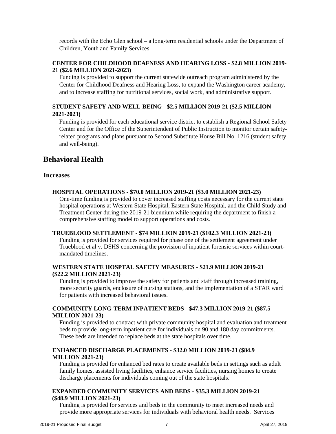records with the Echo Glen school – a long-term residential schools under the Department of Children, Youth and Family Services.

#### **CENTER FOR CHILDHOOD DEAFNESS AND HEARING LOSS - \$2.8 MILLION 2019- 21 (\$2.6 MILLION 2021-2023)**

Funding is provided to support the current statewide outreach program administered by the Center for Childhood Deafness and Hearing Loss, to expand the Washington career academy, and to increase staffing for nutritional services, social work, and administrative support.

#### **STUDENT SAFETY AND WELL-BEING - \$2.5 MILLION 2019-21 (\$2.5 MILLION 2021-2023)**

Funding is provided for each educational service district to establish a Regional School Safety Center and for the Office of the Superintendent of Public Instruction to monitor certain safetyrelated programs and plans pursuant to Second Substitute House Bill No. 1216 (student safety and well-being).

#### <span id="page-8-0"></span>**Behavioral Health**

#### **Increases**

#### **HOSPITAL OPERATIONS - \$70.0 MILLION 2019-21 (\$3.0 MILLION 2021-23)**

One-time funding is provided to cover increased staffing costs necessary for the current state hospital operations at Western State Hospital, Eastern State Hospital, and the Child Study and Treatment Center during the 2019-21 biennium while requiring the department to finish a comprehensive staffing model to support operations and costs.

#### **TRUEBLOOD SETTLEMENT - \$74 MILLION 2019-21 (\$102.3 MILLION 2021-23)**

Funding is provided for services required for phase one of the settlement agreement under Trueblood et al v. DSHS concerning the provision of inpatient forensic services within courtmandated timelines.

#### **WESTERN STATE HOSPTAL SAFETY MEASURES - \$21.9 MILLION 2019-21 (\$22.2 MILLION 2021-23)**

Funding is provided to improve the safety for patients and staff through increased training, more security guards, enclosure of nursing stations, and the implementation of a STAR ward for patients with increased behavioral issues.

#### **COMMUNITY LONG-TERM INPATIENT BEDS - \$47.3 MILLION 2019-21 (\$87.5 MILLION 2021-23)**

Funding is provided to contract with private community hospital and evaluation and treatment beds to provide long-term inpatient care for individuals on 90 and 180 day commitments. These beds are intended to replace beds at the state hospitals over time.

#### **ENHANCED DISCHARGE PLACEMENTS - \$32.0 MILLION 2019-21 (\$84.9 MILLION 2021-23)**

Funding is provided for enhanced bed rates to create available beds in settings such as adult family homes, assisted living facilities, enhance service facilities, nursing homes to create discharge placements for individuals coming out of the state hospitals.

#### **EXPANDED COMMUNITY SERVICES AND BEDS - \$35.3 MILLION 2019-21 (\$48.9 MILLION 2021-23)**

Funding is provided for services and beds in the community to meet increased needs and provide more appropriate services for individuals with behavioral health needs. Services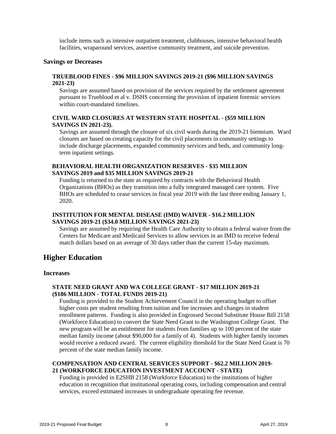include items such as intensive outpatient treatment, clubhouses, intensive behavioral health facilities, wraparound services, assertive community treatment, and suicide prevention.

#### **Savings or Decreases**

#### **TRUEBLOOD FINES - \$96 MILLION SAVINGS 2019-21 (\$96 MILLION SAVINGS 2021-23)**

Savings are assumed based on provision of the services required by the settlement agreement pursuant to Trueblood et al v. DSHS concerning the provision of inpatient forensic services within court-mandated timelines.

#### **CIVIL WARD CLOSURES AT WESTERN STATE HOSPITAL - (\$59 MILLION SAVINGS IN 2021-23).**

Savings are assumed through the closure of six civil wards during the 2019-21 biennium. Ward closures are based on creating capacity for the civil placements in community settings to include discharge placements, expanded community services and beds, and community longterm inpatient settings.

#### **BEHAVIORAL HEALTH ORGANIZATION RESERVES - \$35 MILLION SAVINGS 2019 and \$35 MILLION SAVINGS 2019-21**

Funding is returned to the state as required by contracts with the Behavioral Health Organizations (BHOs) as they transition into a fully integrated managed care system. Five BHOs are scheduled to cease services in fiscal year 2019 with the last three ending January 1, 2020.

#### **INSTITUTION FOR MENTAL DISEASE (IMD) WAIVER - \$16.2 MILLION SAVINGS 2019-21 (\$34.0 MILLION SAVINGS 2021-23)**

Savings are assumed by requiring the Health Care Authority to obtain a federal waiver from the Centers for Medicare and Medicaid Services to allow services in an IMD to receive federal match dollars based on an average of 30 days rather than the current 15-day maximum.

#### <span id="page-9-0"></span>**Higher Education**

#### **Increases**

#### **STATE NEED GRANT AND WA COLLEGE GRANT - \$17 MILLION 2019-21 (\$186 MILLION - TOTAL FUNDS 2019-21)**

Funding is provided to the Student Achievement Council in the operating budget to offset higher costs per student resulting from tuition and fee increases and changes in student enrollment patterns. Funding is also provided in Engrossed Second Substitute House Bill 2158 (Workforce Education) to convert the State Need Grant to the Washington College Grant. The new program will be an entitlement for students from families up to 100 percent of the state median family income (about \$90,000 for a family of 4). Students with higher family incomes would receive a reduced award. The current eligibility threshold for the State Need Grant is 70 percent of the state median family income.

#### **COMPENSATION AND CENTRAL SERVICES SUPPORT - \$62.2 MILLION 2019- 21 (WORKFORCE EDUCATION INVESTMENT ACCOUNT - STATE)**

Funding is provided in E2SHB 2158 (Workforce Education) to the institutions of higher education in recognition that institutional operating costs, including compensation and central services, exceed estimated increases in undergraduate operating fee revenue.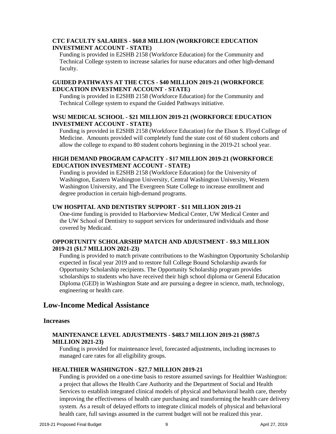#### **CTC FACULTY SALARIES - \$60.8 MILLION (WORKFORCE EDUCATION INVESTMENT ACCOUNT - STATE)**

Funding is provided in E2SHB 2158 (Workforce Education) for the Community and Technical College system to increase salaries for nurse educators and other high-demand faculty.

#### **GUIDED PATHWAYS AT THE CTCS - \$40 MILLION 2019-21 (WORKFORCE EDUCATION INVESTMENT ACCOUNT - STATE)**

Funding is provided in E2SHB 2158 (Workforce Education) for the Community and Technical College system to expand the Guided Pathways initiative.

#### **WSU MEDICAL SCHOOL - \$21 MILLION 2019-21 (WORKFORCE EDUCATION INVESTMENT ACCOUNT - STATE)**

Funding is provided in E2SHB 2158 (Workforce Education) for the Elson S. Floyd College of Medicine. Amounts provided will completely fund the state cost of 60 student cohorts and allow the college to expand to 80 student cohorts beginning in the 2019-21 school year.

#### **HIGH DEMAND PROGRAM CAPACITY - \$17 MILLION 2019-21 (WORKFORCE EDUCATION INVESTMENT ACCOUNT - STATE)**

Funding is provided in E2SHB 2158 (Workforce Education) for the University of Washington, Eastern Washington University, Central Washington University, Western Washington University, and The Evergreen State College to increase enrollment and degree production in certain high-demand programs.

#### **UW HOSPITAL AND DENTISTRY SUPPORT - \$11 MILLION 2019-21**

One-time funding is provided to Harborview Medical Center, UW Medical Center and the UW School of Dentistry to support services for underinsured individuals and those covered by Medicaid.

#### **OPPORTUNITY SCHOLARSHIP MATCH AND ADJUSTMENT - \$9.3 MILLION 2019-21 (\$1.7 MILLION 2021-23)**

Funding is provided to match private contributions to the Washington Opportunity Scholarship expected in fiscal year 2019 and to restore full College Bound Scholarship awards for Opportunity Scholarship recipients. The Opportunity Scholarship program provides scholarships to students who have received their high school diploma or General Education Diploma (GED) in Washington State and are pursuing a degree in science, math, technology, engineering or health care.

#### <span id="page-10-0"></span>**Low-Income Medical Assistance**

#### **Increases**

#### **MAINTENANCE LEVEL ADJUSTMENTS - \$483.7 MILLION 2019-21 (\$987.5 MILLION 2021-23)**

Funding is provided for maintenance level, forecasted adjustments, including increases to managed care rates for all eligibility groups.

#### **HEALTHIER WASHINGTON - \$27.7 MILLION 2019-21**

Funding is provided on a one-time basis to restore assumed savings for Healthier Washington: a project that allows the Health Care Authority and the Department of Social and Health Services to establish integrated clinical models of physical and behavioral health care, thereby improving the effectiveness of health care purchasing and transforming the health care delivery system. As a result of delayed efforts to integrate clinical models of physical and behavioral health care, full savings assumed in the current budget will not be realized this year.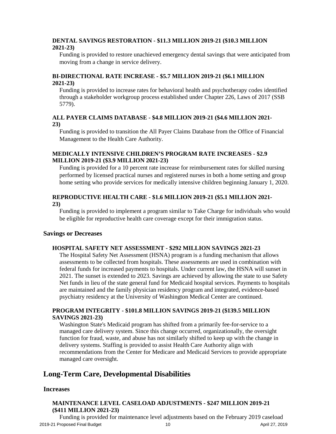#### **DENTAL SAVINGS RESTORATION - \$11.3 MILLION 2019-21 (\$10.3 MILLION 2021-23)**

Funding is provided to restore unachieved emergency dental savings that were anticipated from moving from a change in service delivery.

#### **BI-DIRECTIONAL RATE INCREASE - \$5.7 MILLION 2019-21 (\$6.1 MILLION 2021-23)**

Funding is provided to increase rates for behavioral health and psychotherapy codes identified through a stakeholder workgroup process established under Chapter 226, Laws of 2017 (SSB 5779).

#### **ALL PAYER CLAIMS DATABASE - \$4.8 MILLION 2019-21 (\$4.6 MILLION 2021- 23)**

Funding is provided to transition the All Payer Claims Database from the Office of Financial Management to the Health Care Authority.

#### **MEDICALLY INTENSIVE CHILDREN'S PROGRAM RATE INCREASES - \$2.9 MILLION 2019-21 (\$3.9 MILLION 2021-23)**

Funding is provided for a 10 percent rate increase for reimbursement rates for skilled nursing performed by licensed practical nurses and registered nurses in both a home setting and group home setting who provide services for medically intensive children beginning January 1, 2020.

#### **REPRODUCTIVE HEALTH CARE - \$1.6 MILLION 2019-21 (\$5.1 MILLION 2021- 23)**

Funding is provided to implement a program similar to Take Charge for individuals who would be eligible for reproductive health care coverage except for their immigration status.

#### **Savings or Decreases**

#### **HOSPITAL SAFETY NET ASSESSMENT - \$292 MILLION SAVINGS 2021-23**

The Hospital Safety Net Assessment (HSNA) program is a funding mechanism that allows assessments to be collected from hospitals. These assessments are used in combination with federal funds for increased payments to hospitals. Under current law, the HSNA will sunset in 2021. The sunset is extended to 2023. Savings are achieved by allowing the state to use Safety Net funds in lieu of the state general fund for Medicaid hospital services. Payments to hospitals are maintained and the family physician residency program and integrated, evidence-based psychiatry residency at the University of Washington Medical Center are continued.

#### **PROGRAM INTEGRITY - \$101.8 MILLION SAVINGS 2019-21 (\$139.5 MILLION SAVINGS 2021-23)**

Washington State's Medicaid program has shifted from a primarily fee-for-service to a managed care delivery system. Since this change occurred, organizationally, the oversight function for fraud, waste, and abuse has not similarly shifted to keep up with the change in delivery systems. Staffing is provided to assist Health Care Authority align with recommendations from the Center for Medicare and Medicaid Services to provide appropriate managed care oversight.

#### <span id="page-11-0"></span>**Long-Term Care, Developmental Disabilities**

#### **Increases**

#### **MAINTENANCE LEVEL CASELOAD ADJUSTMENTS - \$247 MILLION 2019-21 (\$411 MILLION 2021-23)**

2019-21 Proposed Final Budget 2001 10 April 27, 2019 Funding is provided for maintenance level adjustments based on the February 2019 caseload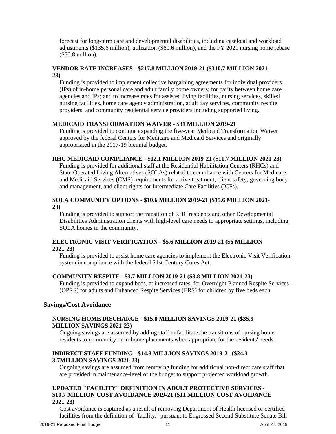forecast for long-term care and developmental disabilities, including caseload and workload adjustments (\$135.6 million), utilization (\$60.6 million), and the FY 2021 nursing home rebase (\$50.8 million).

#### **VENDOR RATE INCREASES - \$217.8 MILLION 2019-21 (\$310.7 MILLION 2021- 23)**

Funding is provided to implement collective bargaining agreements for individual providers (IPs) of in-home personal care and adult family home owners; for parity between home care agencies and IPs; and to increase rates for assisted living facilities, nursing services, skilled nursing facilities, home care agency administration, adult day services, community respite providers, and community residential service providers including supported living.

#### **MEDICAID TRANSFORMATION WAIVER - \$31 MILLION 2019-21**

Funding is provided to continue expanding the five-year Medicaid Transformation Waiver approved by the federal Centers for Medicare and Medicaid Services and originally appropriated in the 2017-19 biennial budget.

#### **RHC MEDICAID COMPLIANCE - \$12.1 MILLION 2019-21 (\$11.7 MILLION 2021-23)**

Funding is provided for additional staff at the Residential Habilitation Centers (RHCs) and State Operated Living Alternatives (SOLAs) related to compliance with Centers for Medicare and Medicaid Services (CMS) requirements for active treatment, client safety, governing body and management, and client rights for Intermediate Care Facilities (ICFs).

#### **SOLA COMMUNITY OPTIONS - \$10.6 MILLION 2019-21 (\$15.6 MILLION 2021- 23)**

Funding is provided to support the transition of RHC residents and other Developmental Disabilities Administration clients with high-level care needs to appropriate settings, including SOLA homes in the community.

#### **ELECTRONIC VISIT VERIFICATION - \$5.6 MILLION 2019-21 (\$6 MILLION 2021-23)**

Funding is provided to assist home care agencies to implement the Electronic Visit Verification system in compliance with the federal 21st Century Cures Act.

#### **COMMUNITY RESPITE** - **\$3.7 MILLION 2019-21 (\$3.8 MILLION 2021-23)**

Funding is provided to expand beds, at increased rates, for Overnight Planned Respite Services (OPRS) for adults and Enhanced Respite Services (ERS) for children by five beds each.

#### **Savings/Cost Avoidance**

#### **NURSING HOME DISCHARGE - \$15.8 MILLION SAVINGS 2019-21 (\$35.9 MILLION SAVINGS 2021-23)**

Ongoing savings are assumed by adding staff to facilitate the transitions of nursing home residents to community or in-home placements when appropriate for the residents' needs.

#### **INDIRECT STAFF FUNDING - \$14.3 MILLION SAVINGS 2019-21 (\$24.3 3.7MILLION SAVINGS 2021-23)**

Ongoing savings are assumed from removing funding for additional non-direct care staff that are provided in maintenance-level of the budget to support projected workload growth.

#### **UPDATED "FACILITY" DEFINITION IN ADULT PROTECTIVE SERVICES - \$10.7 MILLION COST AVOIDANCE 2019-21 (\$11 MILLION COST AVOIDANCE 2021-23)**

Cost avoidance is captured as a result of removing Department of Health licensed or certified facilities from the definition of "facility," pursuant to Engrossed Second Substitute Senate Bill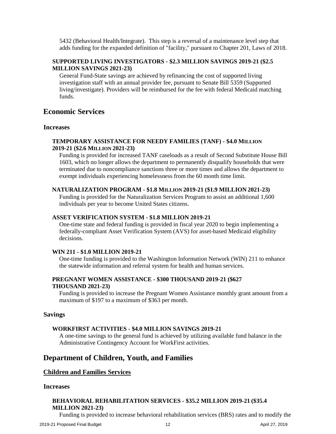5432 (Behavioral Health/Integrate). This step is a reversal of a maintenance level step that adds funding for the expanded definition of "facility," pursuant to Chapter 201, Laws of 2018.

#### **SUPPORTED LIVING INVESTIGATORS - \$2.3 MILLION SAVINGS 2019-21 (\$2.5 MILLION SAVINGS 2021-23)**

General Fund-State savings are achieved by refinancing the cost of supported living investigation staff with an annual provider fee, pursuant to Senate Bill 5359 (Supported living/investigate). Providers will be reimbursed for the fee with federal Medicaid matching funds.

#### <span id="page-13-0"></span>**Economic Services**

#### **Increases**

#### **TEMPORARY ASSISTANCE FOR NEEDY FAMILIES (TANF) - \$4.0 MILLION 2019-21 (\$2.6 MILLION 2021-23)**

Funding is provided for increased TANF caseloads as a result of Second Substitute House Bill 1603, which no longer allows the department to permanently disqualify households that were terminated due to noncompliance sanctions three or more times and allows the department to exempt individuals experiencing homelessness from the 60 month time limit.

#### **NATURALIZATION PROGRAM - \$1.8 MILLION 2019-21 (\$1.9 MILLION 2021-23)**

Funding is provided for the Naturalization Services Program to assist an additional 1,600 individuals per year to become United States citizens.

#### **ASSET VERIFICATION SYSTEM - \$1.8 MILLION 2019-21**

One-time state and federal funding is provided in fiscal year 2020 to begin implementing a federally-compliant Asset Verification System (AVS) for asset-based Medicaid eligibility decisions.

#### **WIN 211 - \$1.0 MILLION 2019-21**

One-time funding is provided to the Washington Information Network (WIN) 211 to enhance the statewide information and referral system for health and human services.

#### **PREGNANT WOMEN ASSISTANCE - \$300 THOUSAND 2019-21 (\$627 THOUSAND 2021-23)**

Funding is provided to increase the Pregnant Women Assistance monthly grant amount from a maximum of \$197 to a maximum of \$363 per month.

#### **Savings**

#### **WORKFIRST ACTIVITIES - \$4.0 MILLION SAVINGS 2019-21**

A one-time savings to the general fund is achieved by utilizing available fund balance in the Administrative Contingency Account for WorkFirst activities.

#### <span id="page-13-1"></span>**Department of Children, Youth, and Families**

#### <span id="page-13-2"></span>**Children and Families Services**

#### **Increases**

#### **BEHAVIORAL REHABILITATION SERVICES - \$35.2 MILLION 2019-21 (\$35.4 MILLION 2021-23)**

Funding is provided to increase behavioral rehabilitation services (BRS) rates and to modify the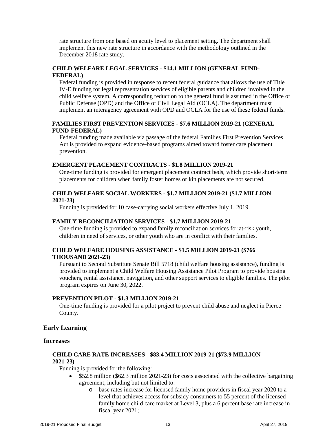rate structure from one based on acuity level to placement setting. The department shall implement this new rate structure in accordance with the methodology outlined in the December 2018 rate study.

#### **CHILD WELFARE LEGAL SERVICES - \$14.1 MILLION (GENERAL FUND-FEDERAL)**

Federal funding is provided in response to recent federal guidance that allows the use of Title IV-E funding for legal representation services of eligible parents and children involved in the child welfare system. A corresponding reduction to the general fund is assumed in the Office of Public Defense (OPD) and the Office of Civil Legal Aid (OCLA). The department must implement an interagency agreement with OPD and OCLA for the use of these federal funds.

#### **FAMILIES FIRST PREVENTION SERVICES - \$7.6 MILLION 2019-21 (GENERAL FUND-FEDERAL)**

Federal funding made available via passage of the federal Families First Prevention Services Act is provided to expand evidence-based programs aimed toward foster care placement prevention.

#### **EMERGENT PLACEMENT CONTRACTS - \$1.8 MILLION 2019-21**

One-time funding is provided for emergent placement contract beds, which provide short-term placements for children when family foster homes or kin placements are not secured.

#### **CHILD WELFARE SOCIAL WORKERS - \$1.7 MILLION 2019-21 (\$1.7 MILLION 2021-23)**

Funding is provided for 10 case-carrying social workers effective July 1, 2019.

#### **FAMILY RECONCILIATION SERVICES - \$1.7 MILLION 2019-21**

One-time funding is provided to expand family reconciliation services for at-risk youth, children in need of services, or other youth who are in conflict with their families.

#### **CHILD WELFARE HOUSING ASSISTANCE - \$1.5 MILLION 2019-21 (\$766 THOUSAND 2021-23)**

Pursuant to Second Substitute Senate Bill 5718 (child welfare housing assistance), funding is provided to implement a Child Welfare Housing Assistance Pilot Program to provide housing vouchers, rental assistance, navigation, and other support services to eligible families. The pilot program expires on June 30, 2022.

#### **PREVENTION PILOT - \$1.3 MILLION 2019-21**

One-time funding is provided for a pilot project to prevent child abuse and neglect in Pierce County.

#### <span id="page-14-0"></span>**Early Learning**

#### **Increases**

#### **CHILD CARE RATE INCREASES - \$83.4 MILLION 2019-21 (\$73.9 MILLION 2021-23)**

Funding is provided for the following:

- \$52.8 million (\$62.3 million 2021-23) for costs associated with the collective bargaining agreement, including but not limited to:
	- o base rates increase for licensed family home providers in fiscal year 2020 to a level that achieves access for subsidy consumers to 55 percent of the licensed family home child care market at Level 3, plus a 6 percent base rate increase in fiscal year 2021;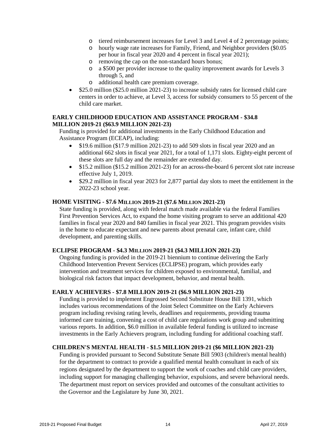- o tiered reimbursement increases for Level 3 and Level 4 of 2 percentage points;
- o hourly wage rate increases for Family, Friend, and Neighbor providers (\$0.05 per hour in fiscal year 2020 and 4 percent in fiscal year 2021);
- o removing the cap on the non-standard hours bonus;<br>o a \$500 per provider increase to the quality improver
- a \$500 per provider increase to the quality improvement awards for Levels 3 through 5, and
- o additional health care premium coverage.
- \$25.0 million (\$25.0 million 2021-23) to increase subsidy rates for licensed child care centers in order to achieve, at Level 3, access for subsidy consumers to 55 percent of the child care market.

#### **EARLY CHILDHOOD EDUCATION AND ASSISTANCE PROGRAM - \$34.8 MILLION 2019-21 (\$63.9 MILLION 2021-23)**

Funding is provided for additional investments in the Early Childhood Education and Assistance Program (ECEAP), including:

- \$19.6 million (\$17.9 million 2021-23) to add 509 slots in fiscal year 2020 and an additional 662 slots in fiscal year 2021, for a total of 1,171 slots. Eighty-eight percent of these slots are full day and the remainder are extended day.
- \$15.2 million (\$15.2 million 2021-23) for an across-the-board 6 percent slot rate increase effective July 1, 2019.
- \$29.2 million in fiscal year 2023 for 2,877 partial day slots to meet the entitlement in the 2022-23 school year.

#### **HOME VISITING - \$7.6 MILLION 2019-21 (\$7.6 MILLION 2021-23)**

State funding is provided, along with federal match made available via the federal Families First Prevention Services Act, to expand the home visiting program to serve an additional 420 families in fiscal year 2020 and 840 families in fiscal year 2021. This program provides visits in the home to educate expectant and new parents about prenatal care, infant care, child development, and parenting skills.

#### **ECLIPSE PROGRAM - \$4.3 MILLION 2019-21 (\$4.3 MILLION 2021-23)**

Ongoing funding is provided in the 2019-21 biennium to continue delivering the Early Childhood Intervention Prevent Services (ECLIPSE) program, which provides early intervention and treatment services for children exposed to environmental, familial, and biological risk factors that impact development, behavior, and mental health.

#### **EARLY ACHIEVERS - \$7.8 MILLION 2019-21 (\$6.9 MILLION 2021-23)**

Funding is provided to implement Engrossed Second Substitute House Bill 1391, which includes various recommendations of the Joint Select Committee on the Early Achievers program including revising rating levels, deadlines and requirements, providing trauma informed care training, convening a cost of child care regulations work group and submitting various reports. In addition, \$6.0 million in available federal funding is utilized to increase investments in the Early Achievers program, including funding for additional coaching staff.

#### **CHILDREN'S MENTAL HEALTH - \$1.5 MILLION 2019-21 (\$6 MILLION 2021-23)**

Funding is provided pursuant to Second Substitute Senate Bill 5903 (children's mental health) for the department to contract to provide a qualified mental health consultant in each of six regions designated by the department to support the work of coaches and child care providers, including support for managing challenging behavior, expulsions, and severe behavioral needs. The department must report on services provided and outcomes of the consultant activities to the Governor and the Legislature by June 30, 2021.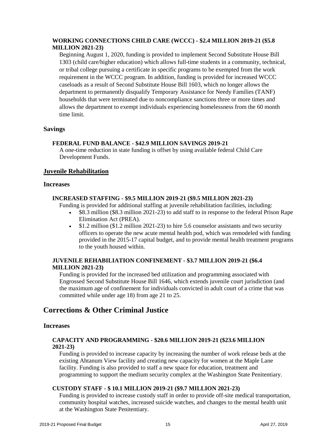#### **WORKING CONNECTIONS CHILD CARE (WCCC) - \$2.4 MILLION 2019-21 (\$5.8 MILLION 2021-23)**

Beginning August 1, 2020, funding is provided to implement Second Substitute House Bill 1303 (child care/higher education) which allows full-time students in a community, technical, or tribal college pursuing a certificate in specific programs to be exempted from the work requirement in the WCCC program. In addition, funding is provided for increased WCCC caseloads as a result of Second Substitute House Bill 1603, which no longer allows the department to permanently disqualify Temporary Assistance for Needy Families (TANF) households that were terminated due to noncompliance sanctions three or more times and allows the department to exempt individuals experiencing homelessness from the 60 month time limit.

#### **Savings**

#### **FEDERAL FUND BALANCE - \$42.9 MILLION SAVINGS 2019-21**

A one-time reduction in state funding is offset by using available federal Child Care Development Funds.

#### <span id="page-16-0"></span>**Juvenile Rehabilitation**

#### **Increases**

#### **INCREASED STAFFING - \$9.5 MILLION 2019-21 (\$9.5 MILLION 2021-23)**

Funding is provided for additional staffing at juvenile rehabilitation facilities, including:

- \$8.3 million (\$8.3 million 2021-23) to add staff to in response to the federal Prison Rape Elimination Act (PREA).
- \$1.2 million (\$1.2 million 2021-23) to hire 5.6 counselor assistants and two security officers to operate the new acute mental health pod, which was remodeled with funding provided in the 2015-17 capital budget, and to provide mental health treatment programs to the youth housed within.

#### **JUVENILE REHABILIATION CONFINEMENT - \$3.7 MILLION 2019-21 (\$6.4 MILLION 2021-23)**

Funding is provided for the increased bed utilization and programming associated with Engrossed Second Substitute House Bill 1646, which extends juvenile court jurisdiction (and the maximum age of confinement for individuals convicted in adult court of a crime that was committed while under age 18) from age 21 to 25.

#### <span id="page-16-1"></span>**Corrections & Other Criminal Justice**

#### **Increases**

#### **CAPACITY AND PROGRAMMING - \$20.6 MILLION 2019-21 (\$23.6 MILLION 2021-23)**

Funding is provided to increase capacity by increasing the number of work release beds at the existing Ahtanum View facility and creating new capacity for women at the Maple Lane facility. Funding is also provided to staff a new space for education, treatment and programming to support the medium security complex at the Washington State Penitentiary.

#### **CUSTODY STAFF - \$ 10.1 MILLION 2019-21 (\$9.7 MILLION 2021-23)**

Funding is provided to increase custody staff in order to provide off-site medical transportation, community hospital watches, increased suicide watches, and changes to the mental health unit at the Washington State Penitentiary.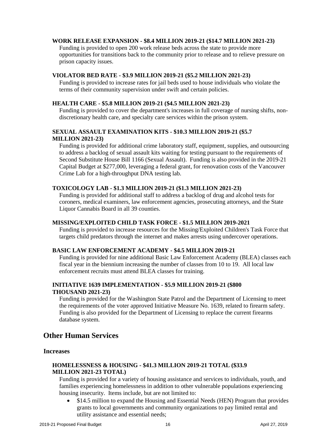#### **WORK RELEASE EXPANSION - \$8.4 MILLION 2019-21 (\$14.7 MILLION 2021-23)**

Funding is provided to open 200 work release beds across the state to provide more opportunities for transitions back to the community prior to release and to relieve pressure on prison capacity issues.

#### **VIOLATOR BED RATE - \$3.9 MILLION 2019-21 (\$5.2 MILLION 2021-23)**

Funding is provided to increase rates for jail beds used to house individuals who violate the terms of their community supervision under swift and certain policies.

#### **HEALTH CARE - \$5.8 MILLION 2019-21 (\$4.5 MILLION 2021-23)**

Funding is provided to cover the department's increases in full coverage of nursing shifts, nondiscretionary health care, and specialty care services within the prison system.

#### **SEXUAL ASSAULT EXAMINATION KITS - \$10.3 MILLION 2019-21 (\$5.7 MILLION 2021-23)**

Funding is provided for additional crime laboratory staff, equipment, supplies, and outsourcing to address a backlog of sexual assault kits waiting for testing pursuant to the requirements of Second Substitute House Bill 1166 (Sexual Assault). Funding is also provided in the 2019-21 Capital Budget at \$277,000, leveraging a federal grant, for renovation costs of the Vancouver Crime Lab for a high-throughput DNA testing lab.

#### **TOXICOLOGY LAB - \$1.3 MILLION 2019-21 (\$1.3 MILLION 2021-23)**

Funding is provided for additional staff to address a backlog of drug and alcohol tests for coroners, medical examiners, law enforcement agencies, prosecuting attorneys, and the State Liquor Cannabis Board in all 39 counties.

#### **MISSING/EXPLOITED CHILD TASK FORCE - \$1.5 MILLION 2019-2021**

Funding is provided to increase resources for the Missing/Exploited Children's Task Force that targets child predators through the internet and makes arrests using undercover operations.

#### **BASIC LAW ENFORCEMENT ACADEMY - \$4.5 MILLION 2019-21**

Funding is provided for nine additional Basic Law Enforcement Academy (BLEA) classes each fiscal year in the biennium increasing the number of classes from 10 to 19. All local law enforcement recruits must attend BLEA classes for training.

#### **INITIATIVE 1639 IMPLEMENTATION - \$5.9 MILLION 2019-21 (\$800 THOUSAND 2021-23)**

Funding is provided for the Washington State Patrol and the Department of Licensing to meet the requirements of the voter approved Initiative Measure No. 1639, related to firearm safety. Funding is also provided for the Department of Licensing to replace the current firearms database system.

#### <span id="page-17-0"></span>**Other Human Services**

#### **Increases**

#### **HOMELESSNESS & HOUSING - \$41.3 MILLION 2019-21 TOTAL (\$33.9 MILLION 2021-23 TOTAL)**

Funding is provided for a variety of housing assistance and services to individuals, youth, and families experiencing homelessness in addition to other vulnerable populations experiencing housing insecurity. Items include, but are not limited to:

• \$14.5 million to expand the Housing and Essential Needs (HEN) Program that provides grants to local governments and community organizations to pay limited rental and utility assistance and essential needs;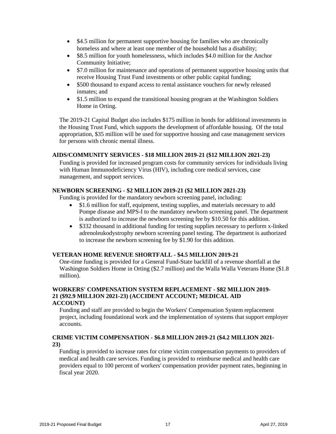- \$4.5 million for permanent supportive housing for families who are chronically homeless and where at least one member of the household has a disability;
- \$8.5 million for youth homelessness, which includes \$4.0 million for the Anchor Community Initiative;
- \$7.0 million for maintenance and operations of permanent supportive housing units that receive Housing Trust Fund investments or other public capital funding;
- \$500 thousand to expand access to rental assistance vouchers for newly released inmates; and
- \$1.5 million to expand the transitional housing program at the Washington Soldiers Home in Orting.

The 2019-21 Capital Budget also includes \$175 million in bonds for additional investments in the Housing Trust Fund, which supports the development of affordable housing. Of the total appropriation, \$35 million will be used for supportive housing and case management services for persons with chronic mental illness.

#### **AIDS/COMMUNITY SERVICES - \$18 MILLION 2019-21 (\$12 MILLION 2021-23)**

Funding is provided for increased program costs for community services for individuals living with Human Immunodeficiency Virus (HIV), including core medical services, case management, and support services.

#### **NEWBORN SCREENING - \$2 MILLION 2019-21 (\$2 MILLION 2021-23)**

Funding is provided for the mandatory newborn screening panel, including:

- \$1.6 million for staff, equipment, testing supplies, and materials necessary to add Pompe disease and MPS-I to the mandatory newborn screening panel. The department is authorized to increase the newborn screening fee by \$10.50 for this addition.
- \$332 thousand in additional funding for testing supplies necessary to perform x-linked adrenoleukodystrophy newborn screening panel testing. The department is authorized to increase the newborn screening fee by \$1.90 for this addition.

#### **VETERAN HOME REVENUE SHORTFALL - \$4.5 MILLION 2019-21**

One-time funding is provided for a General Fund-State backfill of a revenue shortfall at the Washington Soldiers Home in Orting (\$2.7 million) and the Walla Walla Veterans Home (\$1.8 million).

#### **WORKERS' COMPENSATION SYSTEM REPLACEMENT - \$82 MILLION 2019- 21 (\$92.9 MILLION 2021-23) (ACCIDENT ACCOUNT; MEDICAL AID ACCOUNT)**

Funding and staff are provided to begin the Workers' Compensation System replacement project, including foundational work and the implementation of systems that support employer accounts.

#### **CRIME VICTIM COMPENSATION - \$6.8 MILLION 2019-21 (\$4.2 MILLION 2021- 23)**

Funding is provided to increase rates for crime victim compensation payments to providers of medical and health care services. Funding is provided to reimburse medical and health care providers equal to 100 percent of workers' compensation provider payment rates, beginning in fiscal year 2020.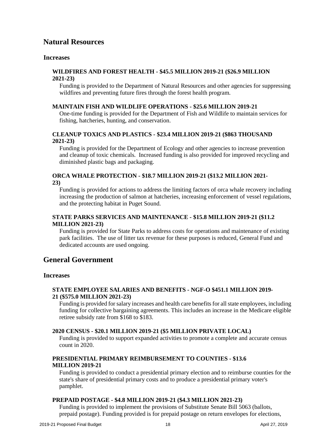#### <span id="page-19-0"></span>**Natural Resources**

#### **Increases**

#### **WILDFIRES AND FOREST HEALTH - \$45.5 MILLION 2019-21 (\$26.9 MILLION 2021-23)**

Funding is provided to the Department of Natural Resources and other agencies for suppressing wildfires and preventing future fires through the forest health program.

#### **MAINTAIN FISH AND WILDLIFE OPERATIONS - \$25.6 MILLION 2019-21**

One-time funding is provided for the Department of Fish and Wildlife to maintain services for fishing, hatcheries, hunting, and conservation.

#### **CLEANUP TOXICS AND PLASTICS - \$23.4 MILLION 2019-21 (\$863 THOUSAND 2021-23)**

Funding is provided for the Department of Ecology and other agencies to increase prevention and cleanup of toxic chemicals. Increased funding is also provided for improved recycling and diminished plastic bags and packaging.

#### **ORCA WHALE PROTECTION - \$18.7 MILLION 2019-21 (\$13.2 MILLION 2021- 23)**

Funding is provided for actions to address the limiting factors of orca whale recovery including increasing the production of salmon at hatcheries, increasing enforcement of vessel regulations, and the protecting habitat in Puget Sound.

#### **STATE PARKS SERVICES AND MAINTENANCE - \$15.8 MILLION 2019-21 (\$11.2 MILLION 2021-23)**

Funding is provided for State Parks to address costs for operations and maintenance of existing park facilities. The use of litter tax revenue for these purposes is reduced, General Fund and dedicated accounts are used ongoing.

#### <span id="page-19-1"></span>**General Government**

#### **Increases**

#### **STATE EMPLOYEE SALARIES AND BENEFITS - NGF-O \$451.1 MILLION 2019- 21 (\$575.0 MILLION 2021-23)**

Funding is provided for salary increases and health care benefits for allstate employees, including funding for collective bargaining agreements. This includes an increase in the Medicare eligible retiree subsidy rate from \$168 to \$183.

#### **2020 CENSUS - \$20.1 MILLION 2019-21 (\$5 MILLION PRIVATE LOCAL)**

Funding is provided to support expanded activities to promote a complete and accurate census count in 2020.

#### **PRESIDENTIAL PRIMARY REIMBURSEMENT TO COUNTIES - \$13.6 MILLION 2019-21**

Funding is provided to conduct a presidential primary election and to reimburse counties for the state's share of presidential primary costs and to produce a presidential primary voter's pamphlet.

#### **PREPAID POSTAGE - \$4.8 MILLION 2019-21 (\$4.3 MILLION 2021-23)**

Funding is provided to implement the provisions of Substitute Senate Bill 5063 (ballots, prepaid postage). Funding provided is for prepaid postage on return envelopes for elections,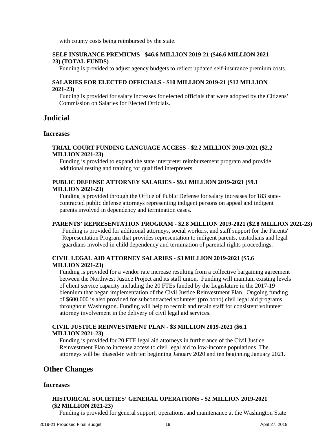with county costs being reimbursed by the state.

#### **SELF INSURANCE PREMIUMS - \$46.6 MILLION 2019-21 (\$46.6 MILLION 2021- 23) (TOTAL FUNDS)**

Funding is provided to adjust agency budgets to reflect updated self-insurance premium costs.

#### **SALARIES FOR ELECTED OFFICIALS - \$10 MILLION 2019-21 (\$12 MILLION 2021-23)**

Funding is provided for salary increases for elected officials that were adopted by the Citizens' Commission on Salaries for Elected Officials.

#### <span id="page-20-0"></span>**Judicial**

#### **Increases**

#### **TRIAL COURT FUNDING LANGUAGE ACCESS - \$2.2 MILLION 2019-2021 (\$2.2 MILLION 2021-23)**

Funding is provided to expand the state interpreter reimbursement program and provide additional testing and training for qualified interpreters.

#### **PUBLIC DEFENSE ATTORNEY SALARIES - \$9.1 MILLION 2019-2021 (\$9.1 MILLION 2021-23)**

Funding is provided through the Office of Public Defense for salary increases for 183 statecontracted public defense attorneys representing indigent persons on appeal and indigent parents involved in dependency and termination cases.

#### **PARENTS' REPRESENTATION PROGRAM - \$2.8 MILLION 2019-2021 (\$2.8 MILLION 2021-23)**

Funding is provided for additional attorneys, social workers, and staff support for the Parents' Representation Program that provides representation to indigent parents, custodians and legal guardians involved in child dependency and termination of parental rights proceedings.

#### **CIVIL LEGAL AID ATTORNEY SALARIES - \$3 MILLION 2019-2021 (\$5.6 MILLION 2021-23)**

Funding is provided for a vendor rate increase resulting from a collective bargaining agreement between the Northwest Justice Project and its staff union. Funding will maintain existing levels of client service capacity including the 20 FTEs funded by the Legislature in the 2017-19 biennium that began implementation of the Civil Justice Reinvestment Plan. Ongoing funding of \$600,000 is also provided for subcontracted volunteer (pro bono) civil legal aid programs throughout Washington. Funding will help to recruit and retain staff for consistent volunteer attorney involvement in the delivery of civil legal aid services.

#### **CIVIL JUSTICE REINVESTMENT PLAN - \$3 MILLION 2019-2021 (\$6.1 MILLION 2021-23)**

Funding is provided for 20 FTE legal aid attorneys in furtherance of the Civil Justice Reinvestment Plan to increase access to civil legal aid to low-income populations. The attorneys will be phased-in with ten beginning January 2020 and ten beginning January 2021.

#### <span id="page-20-1"></span>**Other Changes**

#### **Increases**

#### **HISTORICAL SOCIETIES' GENERAL OPERATIONS - \$2 MILLION 2019-2021 (\$2 MILLION 2021-23)**

Funding is provided for general support, operations, and maintenance at the Washington State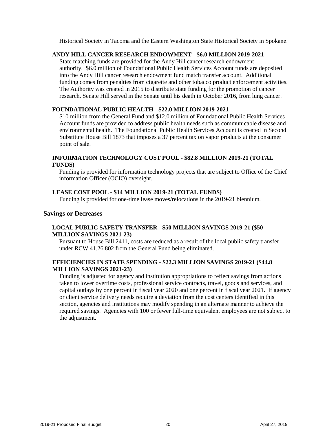Historical Society in Tacoma and the Eastern Washington State Historical Society in Spokane.

#### **ANDY HILL CANCER RESEARCH ENDOWMENT - \$6.0 MILLION 2019-2021**

State matching funds are provided for the Andy Hill cancer research endowment authority. \$6.0 million of Foundational Public Health Services Account funds are deposited into the Andy Hill cancer research endowment fund match transfer account. Additional funding comes from penalties from cigarette and other tobacco product enforcement activities. The Authority was created in 2015 to distribute state funding for the promotion of cancer research. Senate Hill served in the Senate until his death in October 2016, from lung cancer.

#### **FOUNDATIONAL PUBLIC HEALTH - \$22.0 MILLION 2019-2021**

\$10 million from the General Fund and \$12.0 million of Foundational Public Health Services Account funds are provided to address public health needs such as communicable disease and environmental health. The Foundational Public Health Services Account is created in Second Substitute House Bill 1873 that imposes a 37 percent tax on vapor products at the consumer point of sale.

#### **INFORMATION TECHNOLOGY COST POOL - \$82.8 MILLION 2019-21 (TOTAL FUNDS)**

Funding is provided for information technology projects that are subject to Office of the Chief information Officer (OCIO) oversight.

#### **LEASE COST POOL - \$14 MILLION 2019-21 (TOTAL FUNDS)**

Funding is provided for one-time lease moves/relocations in the 2019-21 biennium.

#### **Savings or Decreases**

#### **LOCAL PUBLIC SAFETY TRANSFER - \$50 MILLION SAVINGS 2019-21 (\$50 MILLION SAVINGS 2021-23)**

Pursuant to House Bill 2411, costs are reduced as a result of the local public safety transfer under RCW 41.26.802 from the General Fund being eliminated.

#### **EFFICIENCIES IN STATE SPENDING - \$22.3 MILLION SAVINGS 2019-21 (\$44.8 MILLION SAVINGS 2021-23)**

Funding is adjusted for agency and institution appropriations to reflect savings from actions taken to lower overtime costs, professional service contracts, travel, goods and services, and capital outlays by one percent in fiscal year 2020 and one percent in fiscal year 2021. If agency or client service delivery needs require a deviation from the cost centers identified in this section, agencies and institutions may modify spending in an alternate manner to achieve the required savings. Agencies with 100 or fewer full-time equivalent employees are not subject to the adjustment.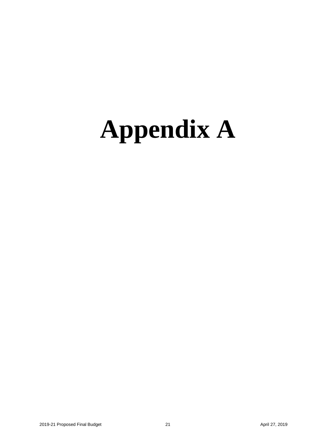### <span id="page-22-0"></span>**Appendix A**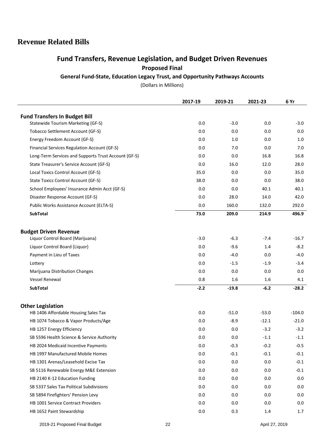#### **Revenue Related Bills**

#### **Fund Transfers, Revenue Legislation, and Budget Driven Revenues Proposed Final**

**General Fund-State, Education Legacy Trust, and Opportunity Pathways Accounts**

(Dollars in Millions)

|                                                                            | 2017-19 | 2019-21 | 2021-23 | 6 Yr     |
|----------------------------------------------------------------------------|---------|---------|---------|----------|
|                                                                            |         |         |         |          |
| <b>Fund Transfers In Budget Bill</b><br>Statewide Tourism Marketing (GF-S) | 0.0     | $-3.0$  | 0.0     | $-3.0$   |
| Tobacco Settlement Account (GF-S)                                          | 0.0     | 0.0     | 0.0     | 0.0      |
| Energy Freedom Account (GF-S)                                              | 0.0     | 1.0     | 0.0     | 1.0      |
| Financial Services Regulation Account (GF-S)                               | 0.0     | 7.0     | 0.0     | 7.0      |
| Long-Term Services and Supports Trust Account (GF-S)                       | 0.0     | 0.0     | 16.8    | 16.8     |
| State Treasurer's Service Account (GF-S)                                   | 0.0     | 16.0    | 12.0    | 28.0     |
| Local Toxics Control Account (GF-S)                                        | 35.0    | 0.0     | 0.0     | 35.0     |
| State Toxics Control Account (GF-S)                                        | 38.0    | 0.0     | 0.0     | 38.0     |
| School Employees' Insurance Admin Acct (GF-S)                              | 0.0     | 0.0     | 40.1    | 40.1     |
| Disaster Response Account (GF-S)                                           | 0.0     | 28.0    | 14.0    | 42.0     |
| Public Works Assistance Account (ELTA-S)                                   | 0.0     | 160.0   | 132.0   | 292.0    |
| <b>SubTotal</b>                                                            | 73.0    | 209.0   | 214.9   | 496.9    |
|                                                                            |         |         |         |          |
| <b>Budget Driven Revenue</b>                                               |         |         |         |          |
| Liquor Control Board (Marijuana)                                           | $-3.0$  | $-6.3$  | $-7.4$  | $-16.7$  |
| Liquor Control Board (Liquor)                                              | 0.0     | $-9.6$  | 1.4     | $-8.2$   |
| Payment in Lieu of Taxes                                                   | 0.0     | $-4.0$  | 0.0     | $-4.0$   |
| Lottery                                                                    | 0.0     | $-1.5$  | $-1.9$  | $-3.4$   |
| Marijuana Distribution Changes                                             | 0.0     | 0.0     | 0.0     | 0.0      |
| <b>Vessel Renewal</b>                                                      | 0.8     | 1.6     | 1.6     | 4.1      |
| <b>SubTotal</b>                                                            | $-2.2$  | $-19.8$ | $-6.2$  | $-28.2$  |
|                                                                            |         |         |         |          |
| <b>Other Legislation</b>                                                   |         |         |         |          |
| HB 1406 Affordable Housing Sales Tax                                       | 0.0     | $-51.0$ | $-53.0$ | $-104.0$ |
| HB 1074 Tobacco & Vapor Products/Age                                       | 0.0     | $-8.9$  | $-12.1$ | $-21.0$  |
| HB 1257 Energy Efficiency                                                  | 0.0     | 0.0     | $-3.2$  | $-3.2$   |
| SB 5596 Health Science & Service Authority                                 | 0.0     | 0.0     | $-1.1$  | $-1.1$   |
| HB 2024 Medicaid Incentive Payments                                        | 0.0     | $-0.3$  | $-0.2$  | $-0.5$   |
| HB 1997 Manufactured Mobile Homes                                          | 0.0     | $-0.1$  | $-0.1$  | $-0.1$   |
| HB 1301 Arenas/Leasehold Excise Tax                                        | 0.0     | 0.0     | 0.0     | $-0.1$   |
| SB 5116 Renewable Energy M&E Extension                                     | 0.0     | 0.0     | 0.0     | $-0.1$   |
| HB 2140 K-12 Education Funding                                             | 0.0     | 0.0     | 0.0     | 0.0      |
| SB 5337 Sales Tax Political Subdivisions                                   | 0.0     | 0.0     | 0.0     | 0.0      |
| SB 5894 Firefighters' Pension Levy                                         | 0.0     | 0.0     | 0.0     | 0.0      |
| HB 1001 Service Contract Providers                                         | 0.0     | 0.0     | 0.0     | 0.0      |
| HB 1652 Paint Stewardship                                                  | $0.0\,$ | 0.3     | 1.4     | 1.7      |

2019-21 Proposed Final Budget 22 22 April 27, 2019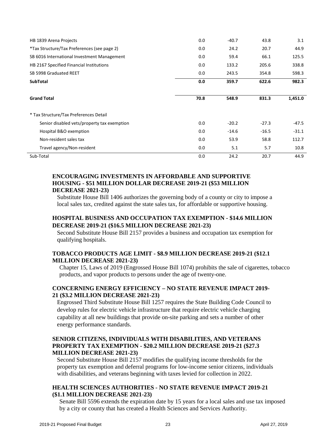| HB 1839 Arena Projects                      | 0.0  | $-40.7$ | 43.8    | 3.1     |
|---------------------------------------------|------|---------|---------|---------|
| *Tax Structure/Tax Preferences (see page 2) | 0.0  | 24.2    | 20.7    | 44.9    |
| SB 6016 International Investment Management | 0.0  | 59.4    | 66.1    | 125.5   |
| HB 2167 Specified Financial Institutions    | 0.0  | 133.2   | 205.6   | 338.8   |
| SB 5998 Graduated REET                      | 0.0  | 243.5   | 354.8   | 598.3   |
| <b>SubTotal</b>                             | 0.0  | 359.7   | 622.6   | 982.3   |
| <b>Grand Total</b>                          | 70.8 | 548.9   | 831.3   | 1,451.0 |
| * Tax Structure/Tax Preferences Detail      |      |         |         |         |
| Senior disabled vets/property tax exemption | 0.0  | $-20.2$ | $-27.3$ | -47.5   |
| Hospital B&O exemption                      | 0.0  | $-14.6$ | $-16.5$ | $-31.1$ |
| Non-resident sales tax                      | 0.0  | 53.9    | 58.8    | 112.7   |
| Travel agency/Non-resident                  | 0.0  | 5.1     | 5.7     | 10.8    |
| Sub-Total                                   | 0.0  | 24.2    | 20.7    | 44.9    |

#### **ENCOURAGING INVESTMENTS IN AFFORDABLE AND SUPPORTIVE HOUSING - \$51 MILLION DOLLAR DECREASE 2019-21 (\$53 MILLION DECREASE 2021-23)**

Substitute House Bill 1406 authorizes the governing body of a county or city to impose a local sales tax, credited against the state sales tax, for affordable or supportive housing.

#### **HOSPITAL BUSINESS AND OCCUPATION TAX EXEMPTION - \$14.6 MILLION DECREASE 2019-21 (\$16.5 MILLION DECREASE 2021-23)**

Second Substitute House Bill 2157 provides a business and occupation tax exemption for qualifying hospitals.

#### **TOBACCO PRODUCTS AGE LIMIT - \$8.9 MILLION DECREASE 2019-21 (\$12.1 MILLION DECREASE 2021-23)**

Chapter 15, Laws of 2019 (Engrossed House Bill 1074) prohibits the sale of cigarettes, tobacco products, and vapor products to persons under the age of twenty-one.

#### **CONCERNING ENERGY EFFICIENCY – NO STATE REVENUE IMPACT 2019- 21 (\$3.2 MILLION DECREASE 2021-23)**

Engrossed Third Substitute House Bill 1257 requires the State Building Code Council to develop rules for electric vehicle infrastructure that require electric vehicle charging capability at all new buildings that provide on-site parking and sets a number of other energy performance standards.

#### **SENIOR CITIZENS, INDIVIDUALS WITH DISABILITIES, AND VETERANS PROPERTY TAX EXEMPTION - \$20.2 MILLION DECREASE 2019-21 (\$27.3 MILLION DECREASE 2021-23)**

Second Substitute House Bill 2157 modifies the qualifying income thresholds for the property tax exemption and deferral programs for low-income senior citizens, individuals with disabilities, and veterans beginning with taxes levied for collection in 2022.

#### **HEALTH SCIENCES AUTHORITIES - NO STATE REVENUE IMPACT 2019-21 (\$1.1 MILLION DECREASE 2021-23)**

Senate Bill 5596 extends the expiration date by 15 years for a local sales and use tax imposed by a city or county that has created a Health Sciences and Services Authority.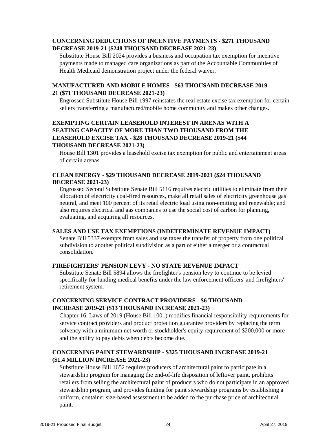#### **CONCERNING DEDUCTIONS OF INCENTIVE PAYMENTS - \$271 THOUSAND DECREASE 2019-21 (\$248 THOUSAND DECREASE 2021-23)**

Substitute House Bill 2024 provides a business and occupation tax exemption for incentive payments made to managed care organizations as part of the Accountable Communities of Health Medicaid demonstration project under the federal waiver.

#### **MANUFACTURED AND MOBILE HOMES - \$63 THOUSAND DECREASE 2019- 21 (\$71 THOUSAND DECREASE 2021-23)**

Engrossed Substitute House Bill 1997 reinstates the real estate excise tax exemption for certain sellers transferring a manufactured/mobile home community and makes other changes.

#### **EXEMPTING CERTAIN LEASEHOLD INTEREST IN ARENAS WITH A SEATING CAPACITY OF MORE THAN TWO THOUSAND FROM THE LEASEHOLD EXCISE TAX - \$28 THOUSAND DECREASE 2019-21 (\$44 THOUSAND DECREASE 2021-23)**

House Bill 1301 provides a leasehold excise tax exemption for public and entertainment areas of certain arenas.

#### **CLEAN ENERGY - \$29 THOUSAND DECREASE 2019-2021 (\$24 THOUSAND DECREASE 2021-23)**

Engrossed Second Substitute Senate Bill 5116 requires electric utilities to eliminate from their allocation of electricity coal-fired resources, make all retail sales of electricity greenhouse gas neutral, and meet 100 percent of its retail electric load using non-emitting and renewable; and also requires electrical and gas companies to use the social cost of carbon for planning, evaluating, and acquiring all resources.

#### **SALES AND USE TAX EXEMPTIONS (INDETERMINATE REVENUE IMPACT)**

Senate Bill 5337 exempts from sales and use taxes the transfer of property from one political subdivision to another political subdivision as a part of either a merger or a contractual consolidation.

#### **FIREFIGHTERS' PENSION LEVY - NO STATE REVENUE IMPACT**

Substitute Senate Bill 5894 allows the firefighter's pension levy to continue to be levied specifically for funding medical benefits under the law enforcement officers' and firefighters' retirement system.

#### **CONCERNING SERVICE CONTRACT PROVIDERS - \$6 THOUSAND INCREASE 2019-21 (\$13 THOUSAND INCREASE 2021-23)**

Chapter 16, Laws of 2019 (House Bill 1001) modifies financial responsibility requirements for service contract providers and product protection guarantee providers by replacing the term solvency with a minimum net worth or stockholder's equity requirement of \$200,000 or more and the ability to pay debts when debts become due.

#### **CONCERNING PAINT STEWARDSHIP - \$325 THOUSAND INCREASE 2019-21 (\$1.4 MILLION INCREASE 2021-23)**

Substitute House Bill 1652 requires producers of architectural paint to participate in a stewardship program for managing the end-of-life disposition of leftover paint, prohibits retailers from selling the architectural paint of producers who do not participate in an approved stewardship program, and provides funding for paint stewardship programs by establishing a uniform, container size-based assessment to be added to the purchase price of architectural paint.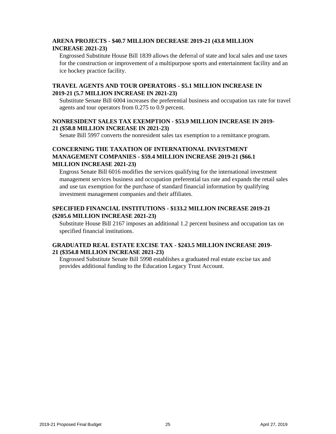#### **ARENA PROJECTS - \$40.7 MILLION DECREASE 2019-21 (43.8 MILLION INCREASE 2021-23)**

Engrossed Substitute House Bill 1839 allows the deferral of state and local sales and use taxes for the construction or improvement of a multipurpose sports and entertainment facility and an ice hockey practice facility.

#### **TRAVEL AGENTS AND TOUR OPERATORS - \$5.1 MILLION INCREASE IN 2019-21 (5.7 MILLION INCREASE IN 2021-23)**

Substitute Senate Bill 6004 increases the preferential business and occupation tax rate for travel agents and tour operators from 0.275 to 0.9 percent.

#### **NONRESIDENT SALES TAX EXEMPTION - \$53.9 MILLION INCREASE IN 2019- 21 (\$58.8 MILLION INCREASE IN 2021-23)**

Senate Bill 5997 converts the nonresident sales tax exemption to a remittance program.

#### **CONCERNING THE TAXATION OF INTERNATIONAL INVESTMENT MANAGEMENT COMPANIES - \$59.4 MILLION INCREASE 2019-21 (\$66.1 MILLION INCREASE 2021-23)**

Engross Senate Bill 6016 modifies the services qualifying for the international investment management services business and occupation preferential tax rate and expands the retail sales and use tax exemption for the purchase of standard financial information by qualifying investment management companies and their affiliates.

#### **SPECIFIED FINANCIAL INSTITUTIONS - \$133.2 MILLION INCREASE 2019-21 (\$205.6 MILLION INCREASE 2021-23)**

Substitute House Bill 2167 imposes an additional 1.2 percent business and occupation tax on specified financial institutions.

#### **GRADUATED REAL ESTATE EXCISE TAX - \$243.5 MILLION INCREASE 2019- 21 (\$354.8 MILLION INCREASE 2021-23)**

Engrossed Substitute Senate Bill 5998 establishes a graduated real estate excise tax and provides additional funding to the Education Legacy Trust Account.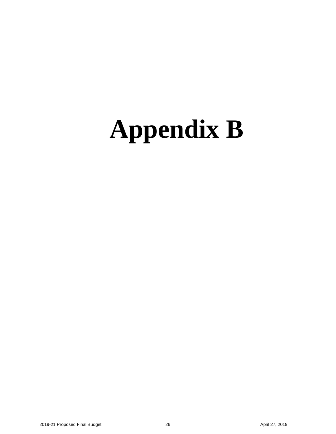### <span id="page-27-0"></span>**Appendix B**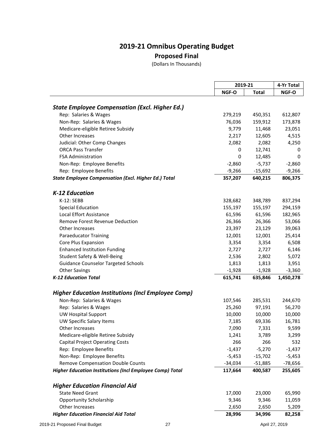#### **2019-21 Omnibus Operating Budget Proposed Final**

(Dollars In Thousands)

|                                                                 |           | 2019-21   |             |
|-----------------------------------------------------------------|-----------|-----------|-------------|
|                                                                 | NGF-O     | Total     | NGF-O       |
|                                                                 |           |           |             |
| <b>State Employee Compensation (Excl. Higher Ed.)</b>           |           |           |             |
| Rep: Salaries & Wages                                           | 279,219   | 450,351   | 612,807     |
| Non-Rep: Salaries & Wages                                       | 76,036    | 159,912   | 173,878     |
| Medicare-eligible Retiree Subsidy                               | 9,779     | 11,468    | 23,051      |
| Other Increases                                                 | 2,217     | 12,605    | 4,515       |
| Judicial: Other Comp Changes                                    | 2,082     | 2,082     | 4,250       |
| <b>ORCA Pass Transfer</b>                                       | 0         | 12,741    | 0           |
| <b>FSA Administration</b>                                       | 0         | 12,485    | $\mathbf 0$ |
| Non-Rep: Employee Benefits                                      | $-2,860$  | $-5,737$  | $-2,860$    |
| Rep: Employee Benefits                                          | $-9,266$  | $-15,692$ | $-9,266$    |
| <b>State Employee Compensation (Excl. Higher Ed.) Total</b>     | 357,207   | 640,215   | 806,375     |
| K-12 Education                                                  |           |           |             |
| K-12: SEBB                                                      | 328,682   | 348,789   | 837,294     |
| <b>Special Education</b>                                        | 155,197   | 155,197   | 294,159     |
| <b>Local Effort Assistance</b>                                  | 61,596    | 61,596    | 182,965     |
| <b>Remove Forest Revenue Deduction</b>                          | 26,366    | 26,366    | 53,066      |
| Other Increases                                                 | 23,397    | 23,129    | 39,063      |
| <b>Paraeducator Training</b>                                    | 12,001    | 12,001    | 25,414      |
| Core Plus Expansion                                             | 3,354     | 3,354     | 6,508       |
| <b>Enhanced Institution Funding</b>                             | 2,727     | 2,727     | 6,146       |
| Student Safety & Well-Being                                     | 2,536     | 2,802     | 5,072       |
| <b>Guidance Counselor Targeted Schools</b>                      | 1,813     | 1,813     | 3,951       |
| <b>Other Savings</b>                                            | $-1,928$  | $-1,928$  | $-3,360$    |
| <b>K-12 Education Total</b>                                     | 615,741   | 635,846   | 1,450,278   |
|                                                                 |           |           |             |
| <b>Higher Education Institutions (Incl Employee Comp)</b>       |           |           |             |
| Non-Rep: Salaries & Wages                                       | 107,546   | 285,531   | 244,670     |
| Rep: Salaries & Wages                                           | 25,260    | 97,191    | 56,270      |
| <b>UW Hospital Support</b>                                      | 10,000    | 10,000    | 10,000      |
| UW Specific Salary Items                                        | 7,185     | 69,336    | 16,781      |
| Other Increases                                                 | 7,090     | 7,331     | 9,599       |
| Medicare-eligible Retiree Subsidy                               | 1,241     | 3,789     | 3,299       |
| <b>Capital Project Operating Costs</b>                          | 266       | 266       | 532         |
| Rep: Employee Benefits                                          | $-1,437$  | $-5,270$  | $-1,437$    |
| Non-Rep: Employee Benefits                                      | $-5,453$  | $-15,702$ | $-5,453$    |
| Remove Compensation Double Counts                               | $-34,034$ | $-51,885$ | $-78,656$   |
| <b>Higher Education Institutions (Incl Employee Comp) Total</b> | 117,664   | 400,587   | 255,605     |
| <b>Higher Education Financial Aid</b>                           |           |           |             |
| <b>State Need Grant</b>                                         | 17,000    | 23,000    | 65,990      |
| <b>Opportunity Scholarship</b>                                  | 9,346     | 9,346     | 11,059      |
| Other Increases                                                 | 2,650     | 2,650     | 5,209       |
| <b>Higher Education Financial Aid Total</b>                     | 28,996    | 34,996    | 82,258      |
|                                                                 |           |           |             |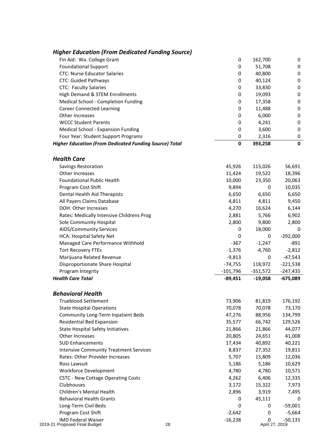| <b>Higher Education (From Dedicated Funding Source)</b>                |                  |                  |                   |
|------------------------------------------------------------------------|------------------|------------------|-------------------|
| Fin Aid: Wa. College Grant                                             | 0                | 162,700          | 0                 |
| <b>Foundational Support</b>                                            | 0                | 51,708           | 0                 |
| <b>CTC: Nurse Educator Salaries</b>                                    | 0                | 40,800           | 0                 |
| CTC: Guided Pathways                                                   | 0                | 40,124           | 0                 |
| <b>CTC: Faculty Salaries</b>                                           | 0                | 33,830           | 0                 |
| High Demand & STEM Enrollments                                         | 0                | 19,093           | 0                 |
| Medical School - Completion Funding                                    | 0                | 17,358           | 0                 |
| <b>Career Connected Learning</b>                                       | 0                | 11,488           | 0                 |
| Other Increases                                                        | 0                | 6,000            | 0                 |
| <b>WCCC Student Parents</b>                                            | 0                | 4,241            | 0                 |
| Medical School - Expansion Funding                                     | 0                | 3,600            | 0                 |
| Four Year: Student Support Programs                                    | 0                | 2,316            | 0                 |
| <b>Higher Education (From Dedicated Funding Source) Total</b>          | 0                | 393,258          | $\mathbf 0$       |
|                                                                        |                  |                  |                   |
| <b>Health Care</b>                                                     |                  |                  |                   |
| Savings Restoration                                                    | 45,926           | 115,026          | 56,691            |
| Other Increases                                                        | 11,424           | 19,522           | 18,396            |
| <b>Foundational Public Health</b>                                      | 10,000           | 23,350           | 20,063            |
| Program Cost Shift                                                     | 9,894            | 0                | 10,035            |
| Dental Health Aid Therapists                                           | 6,650            | 6,650            | 6,650             |
| All Payers Claims Database                                             | 4,811            | 4,811            | 9,450             |
| DOH: Other Increases                                                   | 4,270            | 16,624           | 6,144             |
| Rates: Medically Intensive Childrens Prog                              | 2,881            | 5,766            | 6,902             |
| Sole Community Hospital                                                | 2,800            | 9,800            | 2,800             |
| AIDS/Community Services                                                | 0                | 18,000           | 0                 |
| HCA: Hospital Safety Net                                               | 0                | 0                | $-292,000$        |
| Managed Care Performance Withhold                                      | $-367$           | $-1,247$         | $-891$            |
| <b>Tort Recovery FTEs</b>                                              | $-1,376$         | $-4,760$         | $-2,812$          |
| Marijuana Related Revenue                                              | $-9,813$         | 0                | $-47,543$         |
| Disproportionate Share Hospital                                        | $-74,755$        | 118,972          | $-221,538$        |
| Program Integrity                                                      | $-101,796$       | $-351,572$       | $-247,435$        |
| <b>Health Care Total</b>                                               | $-89,451$        | $-19,058$        | -675,089          |
| <b>Behavioral Health</b>                                               |                  |                  |                   |
| <b>Trueblood Settlement</b>                                            |                  |                  |                   |
|                                                                        | 73,906           | 81,819<br>70,078 | 176,192<br>73,170 |
| <b>State Hospital Operations</b><br>Community Long-Term Inpatient Beds | 70,078           |                  | 134,799           |
|                                                                        | 47,276<br>35,577 | 88,956<br>66,742 |                   |
| Residential Bed Expansion                                              |                  |                  | 129,526           |
| <b>State Hospital Safety Initiatives</b>                               | 21,866           | 21,866           | 44,077            |
| Other Increases                                                        | 20,805           | 24,651           | 41,008            |
| <b>SUD Enhancements</b>                                                | 17,434           | 40,892           | 40,221            |
| <b>Intensive Community Treatment Services</b>                          | 8,837            | 27,352           | 19,811            |
| Rates: Other Provider Increases                                        | 5,707            | 15,809           | 12,036            |
| Ross Lawsuit                                                           | 5,186            | 5,186            | 10,629            |
| <b>Workforce Development</b>                                           | 4,780            | 4,780            | 10,571            |
| <b>CSTC - New Cottage Operating Costs</b>                              | 4,262            | 6,406            | 12,335            |
| Clubhouses                                                             | 3,172            | 15,322           | 7,973             |
| Children's Mental Health                                               | 2,896            | 3,919            | 7,495             |
| <b>Behavioral Health Grants</b>                                        | 0                | 45,111           | 0                 |
| Long-Term Civil Beds                                                   | 0                | 0                | $-59,001$         |
| Program Cost Shift                                                     | $-2,642$         | 0                | $-5,664$          |
| <b>IMD Federal Waiver</b>                                              | $-16,238$        | 0                | $-50,135$         |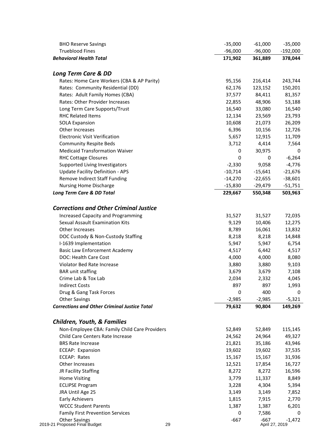| <b>BHO Reserve Savings</b>                          | $-35,000$ | $-61,000$      | $-35,000$  |
|-----------------------------------------------------|-----------|----------------|------------|
| <b>Trueblood Fines</b>                              | $-96,000$ | $-96,000$      | $-192,000$ |
| <b>Behavioral Health Total</b>                      | 171,902   | 361,889        | 378,044    |
| <b>Long Term Care &amp; DD</b>                      |           |                |            |
| Rates: Home Care Workers (CBA & AP Parity)          | 95,156    | 216,414        | 243,744    |
| Rates: Community Residential (DD)                   | 62,176    | 123,152        | 150,201    |
| Rates: Adult Family Homes (CBA)                     | 37,577    | 84,411         | 81,357     |
| Rates: Other Provider Increases                     | 22,855    | 48,906         | 53,188     |
| Long Term Care Supports/Trust                       | 16,540    | 33,080         | 16,540     |
| <b>RHC Related Items</b>                            | 12,134    | 23,569         | 23,793     |
| <b>SOLA Expansion</b>                               | 10,608    | 21,073         | 26,209     |
| Other Increases                                     | 6,396     | 10,156         | 12,726     |
| <b>Electronic Visit Verification</b>                | 5,657     | 12,915         | 11,709     |
| <b>Community Respite Beds</b>                       | 3,712     | 4,414          | 7,564      |
| <b>Medicaid Transformation Waiver</b>               | 0         | 30,975         | 0          |
| <b>RHC Cottage Closures</b>                         | 0         | 0              | $-6,264$   |
| Supported Living Investigators                      | $-2,330$  | 9,058          | $-4,776$   |
| <b>Update Facility Definition - APS</b>             | $-10,714$ | $-15,641$      | $-21,676$  |
| Remove Indirect Staff Funding                       | $-14,270$ | $-22,655$      | $-38,601$  |
| <b>Nursing Home Discharge</b>                       | $-15,830$ | $-29,479$      | $-51,751$  |
| Long Term Care & DD Total                           | 229,667   | 550,348        | 503,963    |
|                                                     |           |                |            |
| <b>Corrections and Other Criminal Justice</b>       |           |                |            |
| <b>Increased Capacity and Programming</b>           | 31,527    | 31,527         | 72,035     |
| Sexual Assault Examination Kits                     | 9,129     | 10,406         | 12,275     |
| Other Increases                                     | 8,789     | 16,061         | 13,832     |
| DOC Custody & Non-Custody Staffing                  | 8,218     | 8,218          | 14,848     |
| I-1639 Implementation                               | 5,947     | 5,947          | 6,754      |
| <b>Basic Law Enforcement Academy</b>                | 4,517     | 6,442          | 4,517      |
| DOC: Health Care Cost                               | 4,000     | 4,000          | 8,080      |
| Violator Bed Rate Increase                          | 3,880     | 3,880          | 9,103      |
| <b>BAR</b> unit staffing                            | 3,679     | 3,679          | 7,108      |
| Crime Lab & Tox Lab                                 | 2,034     | 2,332          | 4,045      |
| <b>Indirect Costs</b>                               | 897       | 897            | 1,993      |
| Drug & Gang Task Forces                             | 0         | 400            | 0          |
| <b>Other Savings</b>                                | $-2,985$  | $-2,985$       | $-5,321$   |
| <b>Corrections and Other Criminal Justice Total</b> | 79,632    | 90,804         | 149,269    |
| <b>Children, Youth, &amp; Families</b>              |           |                |            |
| Non-Employee CBA: Family Child Care Providers       | 52,849    | 52,849         | 115,145    |
| Child Care Centers Rate Increase                    | 24,562    | 24,964         | 49,327     |
| <b>BRS Rate Increase</b>                            | 21,821    | 35,186         | 43,946     |
| ECEAP: Expansion                                    | 19,602    | 19,602         | 37,535     |
| ECEAP: Rates                                        | 15,167    | 15,167         | 31,936     |
| Other Increases                                     | 12,521    | 17,854         | 16,727     |
| JR Facility Staffing                                | 8,272     | 8,272          | 16,596     |
| <b>Home Visiting</b>                                | 3,779     | 11,337         | 8,849      |
| <b>ECLIPSE Program</b>                              | 3,228     | 4,304          | 5,394      |
| JRA Until Age 25                                    | 3,149     | 3,149          | 7,852      |
| <b>Early Achievers</b>                              | 1,815     | 7,915          | 2,770      |
| <b>WCCC Student Parents</b>                         | 1,387     | 1,387          | 6,201      |
| <b>Family First Prevention Services</b>             | 0         | 7,586          | 0          |
| Other Savings                                       | $-667$    | $-667$         | $-1,472$   |
| 2019-21 Proposed Final Budget<br>29                 |           | April 27, 2019 |            |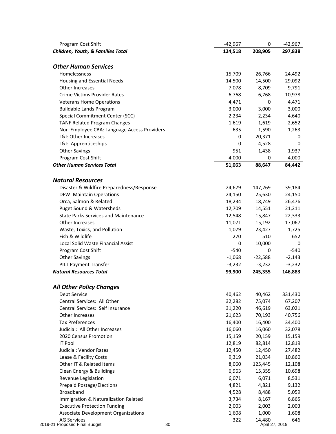| Program Cost Shift                          | $-42,967$ | 0              | $-42,967$ |
|---------------------------------------------|-----------|----------------|-----------|
| Children, Youth, & Families Total           | 124,518   | 208,905        | 297,838   |
| <b>Other Human Services</b>                 |           |                |           |
| Homelessness                                | 15,709    | 26,766         | 24,492    |
| Housing and Essential Needs                 | 14,500    | 14,500         | 29,092    |
| Other Increases                             | 7,078     | 8,709          | 9,791     |
| Crime Victims Provider Rates                | 6,768     | 6,768          | 10,978    |
| <b>Veterans Home Operations</b>             | 4,471     | 0              | 4,471     |
| <b>Buildable Lands Program</b>              | 3,000     | 3,000          | 3,000     |
| Special Commitment Center (SCC)             | 2,234     | 2,234          | 4,640     |
| <b>TANF Related Program Changes</b>         | 1,619     | 1,619          | 2,652     |
| Non-Employee CBA: Language Access Providers | 635       | 1,590          | 1,263     |
| L&I: Other Increases                        | 0         | 20,371         |           |
| L&I: Apprenticeships                        | 0         | 4,528          | 0         |
| <b>Other Savings</b>                        | $-951$    | $-1,438$       | $-1,937$  |
| Program Cost Shift                          | $-4,000$  | 0              | $-4,000$  |
| <b>Other Human Services Total</b>           | 51,063    | 88,647         | 84,442    |
|                                             |           |                |           |
| <b>Natural Resources</b>                    |           |                |           |
| Disaster & Wildfire Preparedness/Response   | 24,679    | 147,269        | 39,184    |
| <b>DFW: Maintain Operations</b>             | 24,150    | 25,630         | 24,150    |
| Orca, Salmon & Related                      | 18,234    | 18,749         | 26,476    |
| Puget Sound & Watersheds                    | 12,709    | 14,551         | 21,211    |
| <b>State Parks Services and Maintenance</b> | 12,548    | 15,847         | 22,333    |
| Other Increases                             | 11,071    | 15,192         | 17,067    |
| Waste, Toxics, and Pollution                | 1,079     | 23,427         | 1,725     |
| Fish & Wildlife                             | 270       | 510            | 652       |
| Local Solid Waste Financial Assist          | 0         | 10,000         |           |
| Program Cost Shift                          | $-540$    | 0              | $-540$    |
| <b>Other Savings</b>                        | $-1,068$  | $-22,588$      | $-2,143$  |
| <b>PILT Payment Transfer</b>                | $-3,232$  | $-3,232$       | $-3,232$  |
| <b>Natural Resources Total</b>              | 99,900    | 245,355        | 146,883   |
| <b>All Other Policy Changes</b>             |           |                |           |
| Debt Service                                | 40,462    | 40,462         | 331,430   |
| Central Services: All Other                 | 32,282    | 75,074         | 67,207    |
| Central Services: Self Insurance            | 31,220    | 46,619         | 63,021    |
| Other Increases                             | 21,623    | 70,193         | 40,756    |
| <b>Tax Preferences</b>                      | 16,400    | 16,400         | 34,400    |
| Judicial: All Other Increases               | 16,060    | 16,060         | 32,078    |
| 2020 Census Promotion                       | 15,159    | 20,159         | 15,159    |
| <b>IT Pool</b>                              | 12,819    | 82,814         | 12,819    |
| Judicial: Vendor Rates                      | 12,450    | 12,450         | 27,482    |
| Lease & Facility Costs                      | 9,319     | 21,034         | 10,860    |
| Other IT & Related Items                    | 8,060     | 125,445        | 12,108    |
| Clean Energy & Buildings                    | 6,963     | 15,355         | 10,698    |
| Revenue Legislation                         | 6,071     | 6,071          | 8,531     |
| <b>Prepaid Postage/Elections</b>            | 4,821     | 4,821          | 9,132     |
| <b>Broadband</b>                            | 4,528     | 8,488          | 5,059     |
| Immigration & Naturalization Related        | 3,734     | 8,167          | 6,865     |
| <b>Executive Protection Funding</b>         | 2,003     | 2,003          | 2,003     |
| Associate Development Organizations         | 1,608     | 1,000          | 1,608     |
| <b>AG Services</b>                          | 322       | 14,480         | 646       |
| 2019-21 Proposed Final Budget<br>30         |           | April 27, 2019 |           |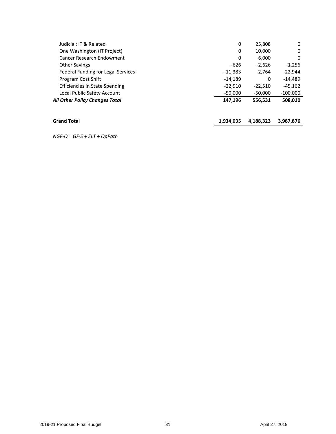| <b>Grand Total</b>                        | 1,934,035 | 4,188,323 | 3,987,876  |
|-------------------------------------------|-----------|-----------|------------|
| All Other Policy Changes Total            | 147.196   | 556,531   | 508,010    |
| Local Public Safety Account               | $-50.000$ | $-50.000$ | $-100,000$ |
| <b>Efficiencies in State Spending</b>     | $-22.510$ | $-22,510$ | $-45.162$  |
| Program Cost Shift                        | $-14,189$ | 0         | $-14,489$  |
| <b>Federal Funding for Legal Services</b> | $-11,383$ | 2.764     | $-22,944$  |
| <b>Other Savings</b>                      | -626      | $-2,626$  | $-1,256$   |
| Cancer Research Endowment                 | 0         | 6,000     | 0          |
| One Washington (IT Project)               | 0         | 10,000    | 0          |
| Judicial: IT & Related                    | 0         | 25,808    | 0          |
|                                           |           |           |            |

*NGF-O = GF-S + ELT + OpPath*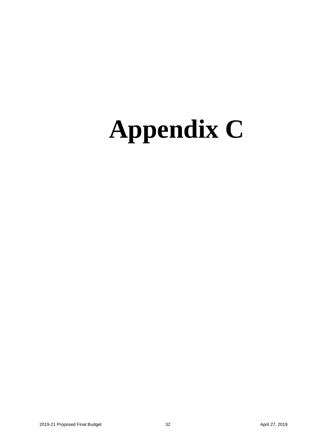### <span id="page-33-0"></span>**Appendix C**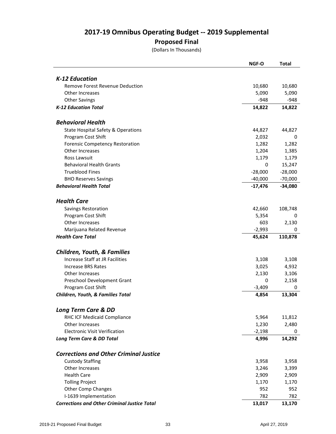#### **2017-19 Omnibus Operating Budget -- 2019 Supplemental**

#### **Proposed Final**

(Dollars In Thousands)

|                                                     | <b>NGF-O</b> | <b>Total</b> |
|-----------------------------------------------------|--------------|--------------|
|                                                     |              |              |
| K-12 Education                                      |              |              |
| Remove Forest Revenue Deduction                     | 10,680       | 10,680       |
| Other Increases                                     | 5,090        | 5,090        |
| <b>Other Savings</b>                                | $-948$       | $-948$       |
| <b>K-12 Education Total</b>                         | 14,822       | 14,822       |
| <b>Behavioral Health</b>                            |              |              |
| <b>State Hospital Safety &amp; Operations</b>       | 44,827       | 44,827       |
| Program Cost Shift                                  | 2,032        | 0            |
| <b>Forensic Competency Restoration</b>              | 1,282        | 1,282        |
| Other Increases                                     | 1,204        | 1,385        |
| Ross Lawsuit                                        | 1,179        | 1,179        |
| <b>Behavioral Health Grants</b>                     | 0            | 15,247       |
| <b>Trueblood Fines</b>                              | $-28,000$    | $-28,000$    |
| <b>BHO Reserves Savings</b>                         | $-40,000$    | $-70,000$    |
| <b>Behavioral Health Total</b>                      | $-17,476$    | $-34,080$    |
|                                                     |              |              |
| <b>Health Care</b>                                  |              |              |
| Savings Restoration                                 | 42,660       | 108,748      |
| Program Cost Shift                                  | 5,354        | 0            |
| Other Increases                                     | 603          | 2,130        |
| Marijuana Related Revenue                           | $-2,993$     | 0            |
| <b>Health Care Total</b>                            | 45,624       | 110,878      |
| <b>Children, Youth, &amp; Families</b>              |              |              |
| Increase Staff at JR Facilities                     | 3,108        | 3,108        |
| Increase BRS Rates                                  | 3,025        | 4,932        |
| Other Increases                                     | 2,130        | 3,106        |
| Preschool Development Grant                         | 0            | 2,158        |
| Program Cost Shift                                  | $-3,409$     | 0            |
| Children, Youth, & Families Total                   | 4,854        | 13,304       |
|                                                     |              |              |
| <b>Long Term Care &amp; DD</b>                      |              |              |
| RHC ICF Medicaid Compliance                         | 5,964        | 11,812       |
| Other Increases                                     | 1,230        | 2,480        |
| <b>Electronic Visit Verification</b>                | $-2,198$     | 0            |
| Long Term Care & DD Total                           | 4,996        | 14,292       |
| <b>Corrections and Other Criminal Justice</b>       |              |              |
| <b>Custody Staffing</b>                             | 3,958        | 3,958        |
| Other Increases                                     | 3,246        | 3,399        |
| <b>Health Care</b>                                  | 2,909        | 2,909        |
| <b>Tolling Project</b>                              | 1,170        | 1,170        |
| <b>Other Comp Changes</b>                           | 952          | 952          |
| I-1639 Implementation                               | 782          | 782          |
| <b>Corrections and Other Criminal Justice Total</b> | 13,017       | 13,170       |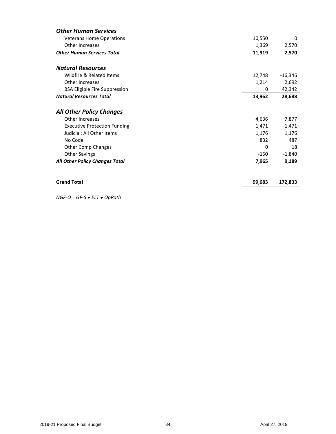| <b>Other Human Services</b>           |        |           |
|---------------------------------------|--------|-----------|
| <b>Veterans Home Operations</b>       | 10,550 | 0         |
| Other Increases                       | 1,369  | 2,570     |
| <b>Other Human Services Total</b>     | 11,919 | 2,570     |
| <b>Natural Resources</b>              |        |           |
| Wildfire & Related Items              | 12,748 | $-16,346$ |
| Other Increases                       | 1,214  | 2,692     |
| <b>BSA Eligible Fire Suppression</b>  | 0      | 42,342    |
| <b>Natural Resources Total</b>        | 13,962 | 28,688    |
| <b>All Other Policy Changes</b>       |        |           |
| Other Increases                       | 4,636  | 7,877     |
| <b>Executive Protection Funding</b>   | 1,471  | 1,471     |
| Judicial: All Other Items             | 1,176  | 1,176     |
| No Code                               | 832    | 487       |
| <b>Other Comp Changes</b>             | 0      | 18        |
| <b>Other Savings</b>                  | $-150$ | $-1,840$  |
| <b>All Other Policy Changes Total</b> | 7,965  | 9,189     |
| <b>Grand Total</b>                    | 99,683 | 172,833   |

*NGF-O = GF-S + ELT + OpPath*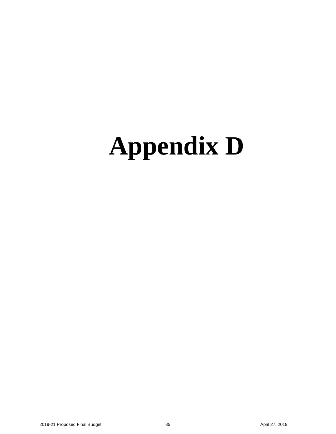## <span id="page-36-0"></span>**Appendix D**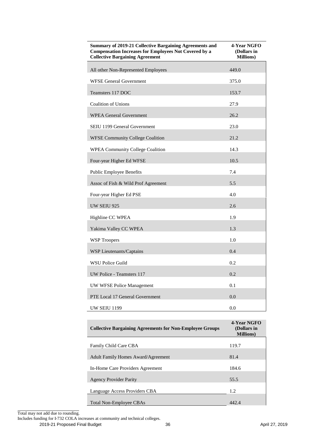| Summary of 2019-21 Collective Bargaining Agreements and<br><b>Compensation Increases for Employees Not Covered by a</b><br><b>Collective Bargaining Agreement</b> | 4-Year NGFO<br>(Dollars in<br><b>Millions</b> ) |
|-------------------------------------------------------------------------------------------------------------------------------------------------------------------|-------------------------------------------------|
| All other Non-Represented Employees                                                                                                                               | 449.0                                           |
| <b>WFSE General Government</b>                                                                                                                                    | 375.0                                           |
| Teamsters 117 DOC                                                                                                                                                 | 153.7                                           |
| <b>Coalition of Unions</b>                                                                                                                                        | 27.9                                            |
| <b>WPEA General Government</b>                                                                                                                                    | 26.2                                            |
| SEIU 1199 General Government                                                                                                                                      | 23.0                                            |
| <b>WFSE Community College Coalition</b>                                                                                                                           | 21.2                                            |
| <b>WPEA Community College Coalition</b>                                                                                                                           | 14.3                                            |
| Four-year Higher Ed WFSE                                                                                                                                          | 10.5                                            |
| Public Employee Benefits                                                                                                                                          | 7.4                                             |
| Assoc of Fish & Wild Prof Agreement                                                                                                                               | 5.5                                             |
| Four-year Higher Ed PSE                                                                                                                                           | 4.0                                             |
| <b>UW SEIU 925</b>                                                                                                                                                | 2.6                                             |
| Highline CC WPEA                                                                                                                                                  | 1.9                                             |
| Yakima Valley CC WPEA                                                                                                                                             | 1.3                                             |
| <b>WSP Troopers</b>                                                                                                                                               | 1.0                                             |
| WSP Lieutenants/Captains                                                                                                                                          | 0.4                                             |
| <b>WSU Police Guild</b>                                                                                                                                           | 0.2                                             |
| UW Police - Teamsters 117                                                                                                                                         | 0.2                                             |
| UW WFSE Police Management                                                                                                                                         | 0.1                                             |
| PTE Local 17 General Government                                                                                                                                   | 0.0                                             |
| UW SEIU 1199                                                                                                                                                      | 0.0                                             |

| <b>Collective Bargaining Agreements for Non-Employee Groups</b> | 4-Year NGFO<br>(Dollars in<br><b>Millions</b> ) |
|-----------------------------------------------------------------|-------------------------------------------------|
| Family Child Care CBA                                           | 119.7                                           |
|                                                                 |                                                 |
| <b>Adult Family Homes Award/Agreement</b>                       | 81.4                                            |
| In-Home Care Providers Agreement                                | 184.6                                           |
|                                                                 |                                                 |
| <b>Agency Provider Parity</b>                                   | 55.5                                            |
| Language Access Providers CBA                                   | 1.2                                             |
|                                                                 |                                                 |
|                                                                 |                                                 |
| Total Non-Employee CBAs                                         | 442.4                                           |

Total may not add due to rounding.

Includes funding for I-732 COLA increases at community and technical colleges.